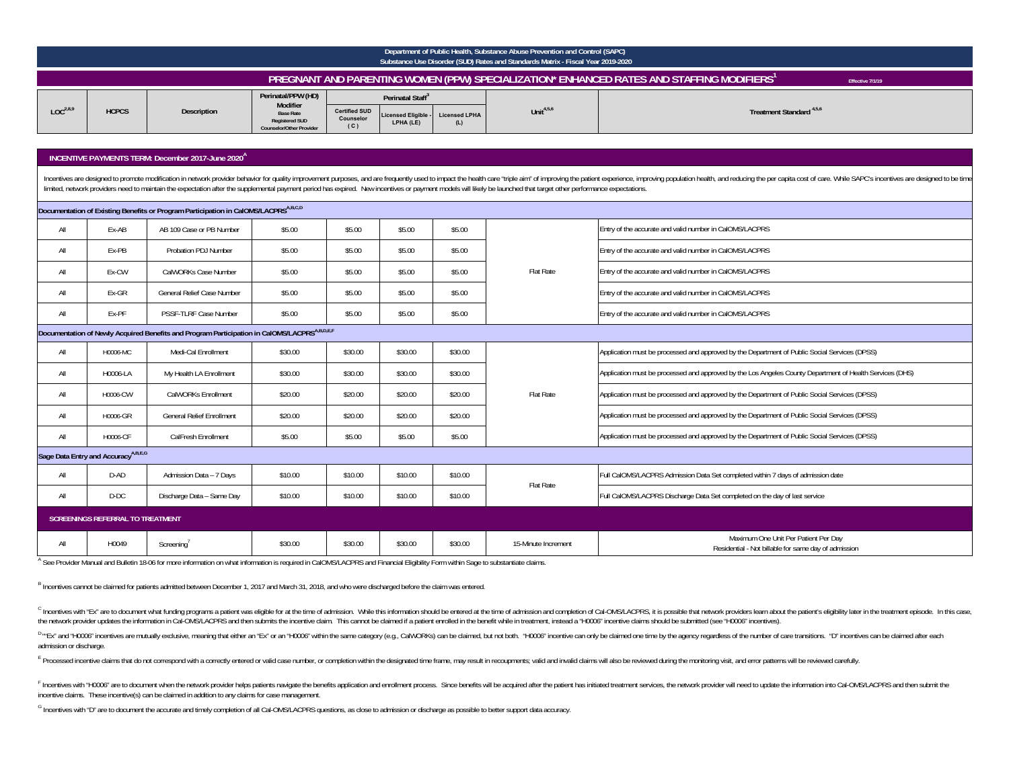|                      | Department of Public Health, Substance Abuse Prevention and Control (SAPC)<br>Substance Use Disorder (SUD) Rates and Standards Matrix - Fiscal Year 2019-2020 |                    |                                                                                                                |                                                                                                                            |     |                       |                                     |  |  |  |  |  |  |
|----------------------|---------------------------------------------------------------------------------------------------------------------------------------------------------------|--------------------|----------------------------------------------------------------------------------------------------------------|----------------------------------------------------------------------------------------------------------------------------|-----|-----------------------|-------------------------------------|--|--|--|--|--|--|
|                      | , PREGNANT AND PARENTING WOMEN (PPW) SPECIALIZATION* ENHANCED RATES AND STAFFING MODIFIERS'<br>Effective 7/1/19                                               |                    |                                                                                                                |                                                                                                                            |     |                       |                                     |  |  |  |  |  |  |
| LOC <sup>2,8,9</sup> | <b>HCPCS</b>                                                                                                                                                  | <b>Description</b> | Perinatal/PPW (HD)<br>Modifier<br><b>Base Rate</b><br><b>Registered SUD</b><br><b>Counselor/Other Provider</b> | Perinatal Staff <sup>3</sup><br><b>Certified SUD</b><br>Licensed Eligible - Licensed LPHA<br>Counselor<br>LPHA (LE)<br>(C) | (L) | Unit <sup>4,5,6</sup> | Treatment Standard <sup>4,5,6</sup> |  |  |  |  |  |  |

# **INCENTIVE PAYMENTS TERM: December 2017-June 2020A**

Incentives are designed to promote modification in network provider behavior for quality improvement purposes, and are frequently used to impact the health care "triple aim" of improving the patient experience, improving p limited, network providers need to maintain the expectation after the supplemental payment period has expired. New incentives or payment models will likely be launched that target other performance expectations.

|     |                                                 | Documentation of Existing Benefits or Program Participation in CalOMS/LACPRSA,B,C,D                      |         |         |         |         |                     |                                                                                                          |
|-----|-------------------------------------------------|----------------------------------------------------------------------------------------------------------|---------|---------|---------|---------|---------------------|----------------------------------------------------------------------------------------------------------|
| All | Ex-AB                                           | AB 109 Case or PB Number                                                                                 | \$5.00  | \$5.00  | \$5.00  | \$5.00  |                     | Entry of the accurate and valid number in CalOMS/LACPRS                                                  |
| All | Ex-PB                                           | Probation PDJ Number                                                                                     | \$5.00  | \$5.00  | \$5.00  | \$5.00  |                     | Entry of the accurate and valid number in CalOMS/LACPRS                                                  |
| All | Ex-CW                                           | CalWORKs Case Number                                                                                     | \$5.00  | \$5.00  | \$5.00  | \$5.00  | Flat Rate           | Entry of the accurate and valid number in CalOMS/LACPRS                                                  |
| All | Ex-GR                                           | General Relief Case Number                                                                               | \$5.00  | \$5.00  | \$5.00  | \$5.00  |                     | Entry of the accurate and valid number in CalOMS/LACPRS                                                  |
| All | Ex-PF                                           | PSSF-TLRF Case Number                                                                                    | \$5.00  | \$5.00  | \$5.00  | \$5.00  |                     | Entry of the accurate and valid number in CalOMS/LACPRS                                                  |
|     |                                                 | Documentation of Newly Acquired Benefits and Program Participation in CalOMS/LACPRS <sup>A,B,D,E,F</sup> |         |         |         |         |                     |                                                                                                          |
| All | H0006-MC                                        | Medi-Cal Enrollment                                                                                      | \$30.00 | \$30.00 | \$30.00 | \$30.00 |                     | Application must be processed and approved by the Department of Public Social Services (DPSS)            |
| All | H0006-LA                                        | My Health LA Enrollment                                                                                  | \$30.00 | \$30.00 | \$30.00 | \$30.00 |                     | Application must be processed and approved by the Los Angeles County Department of Health Services (DHS) |
| All | H0006-CW                                        | CalWORKs Enrollment                                                                                      | \$20.00 | \$20.00 | \$20.00 | \$20.00 | Flat Rate           | Application must be processed and approved by the Department of Public Social Services (DPSS)            |
| All | H0006-GR                                        | <b>General Relief Enrollment</b>                                                                         | \$20.00 | \$20.00 | \$20.00 | \$20.00 |                     | Application must be processed and approved by the Department of Public Social Services (DPSS)            |
| All | H0006-CF                                        | CalFresh Enrollment                                                                                      | \$5.00  | \$5.00  | \$5.00  | \$5.00  |                     | Application must be processed and approved by the Department of Public Social Services (DPSS)            |
|     | Sage Data Entry and Accuracy <sup>A,B,E,G</sup> |                                                                                                          |         |         |         |         |                     |                                                                                                          |
| All | D-AD                                            | Admission Data - 7 Days                                                                                  | \$10.00 | \$10.00 | \$10.00 | \$10.00 | Flat Rate           | Full CalOMS/LACPRS Admission Data Set completed within 7 days of admission date                          |
| All | D-DC                                            | Discharge Data - Same Day                                                                                | \$10.00 | \$10.00 | \$10.00 | \$10.00 |                     | Full CalOMS/LACPRS Discharge Data Set completed on the day of last service                               |
|     | <b>SCREENINGS REFERRAL TO TREATMENT</b>         |                                                                                                          |         |         |         |         |                     |                                                                                                          |
| All | H0049                                           | Screening                                                                                                | \$30.00 | \$30.00 | \$30.00 | \$30.00 | 15-Minute Increment | Maximum One Unit Per Patient Per Day<br>Residential - Not billable for same day of admission             |

A See Provider Manual and Bulletin 18-06 for more information on what information is required in CalOMS/LACPRS and Financial Eligibility Form within Sage to substantiate claims.

B Incentives cannot be claimed for patients admitted between December 1, 2017 and March 31, 2018, and who were discharged before the claim was entered.

<sup>C</sup> Incentives with "Ex" are to document what funding programs a patient was eligible for at the time of admission. While this information should be entered at the time of admission and completion of Cal-OMS/LACPRS, it is the network provider updates the information in Cai-OMS/LACPRS and then submits the incentive claim. This cannot be claimed if a patient enrolled in the benefit while in treatment, instead a "H0006" incentive claims should

<sup>D</sup>"Ex" and "H0006" incentives are mutually exclusive, meaning that either an "Ex" or an "H0006" within the same category (e.g., CalWORKs) can be claimed, but not both. "H0006" incentive can only be claimed one time by the admission or discharge.

E Processed incentive claims that do not correspond with a correctly entered or valid case number, or completion within the designated time frame, may result in recoupments; valid and invalid claims will also be reviewed d

F Incentives with "H0006" are to document when the network provider helps patients navigate the benefits application and enrollment process. Since benefits will be acquired after the patient has initiated treatment service incentive claims. These incentive(s) can be claimed in addition to any claims for case management.

G Incentives with "D" are to document the accurate and timely completion of all Cal-OMS/LACPRS questions, as close to admission or discharge as possible to better support data accuracy.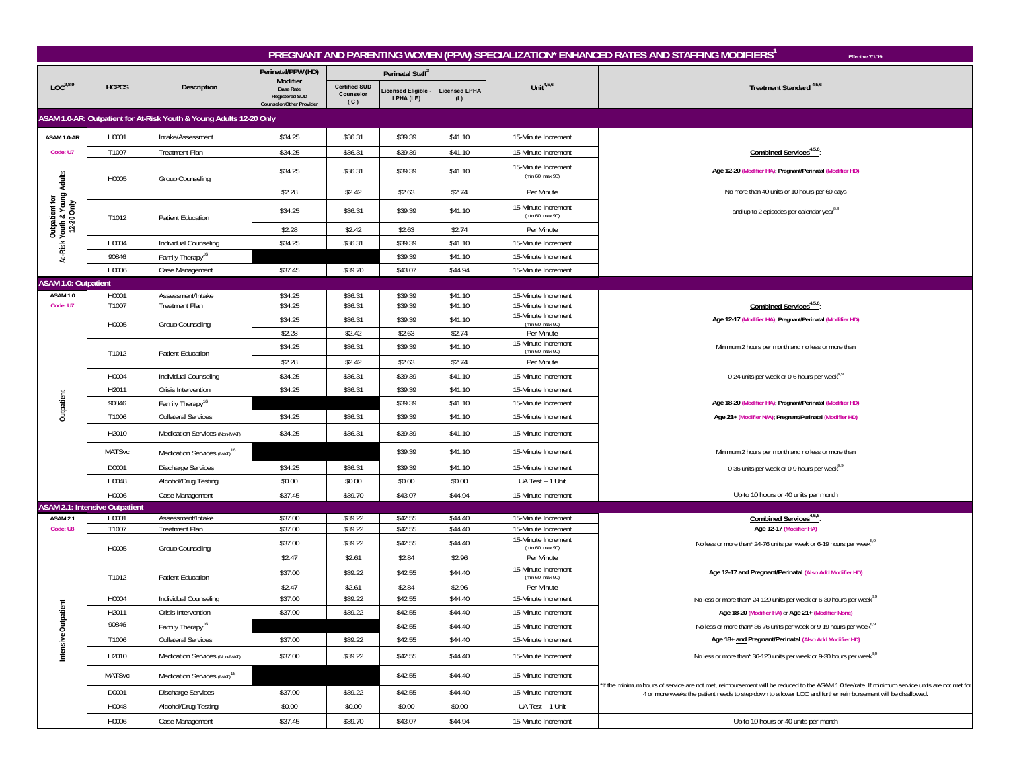|                                                              |                                       |                                                                     |                                                                                   |                                          |                               |                             |                                                       | PREGNANT AND PARENTING WOMEN (PPW) SPECIALIZATION* ENHANCED RATES AND STAFFING MODIFIERS<br>Effective 7/1/19                                   |
|--------------------------------------------------------------|---------------------------------------|---------------------------------------------------------------------|-----------------------------------------------------------------------------------|------------------------------------------|-------------------------------|-----------------------------|-------------------------------------------------------|------------------------------------------------------------------------------------------------------------------------------------------------|
|                                                              |                                       |                                                                     | Perinatal/PPW (HD)                                                                |                                          | Perinatal Staff <sup>3</sup>  |                             |                                                       |                                                                                                                                                |
| LOC <sup>2,8,9</sup>                                         | <b>HCPCS</b>                          | Description                                                         | Modifier<br><b>Base Rate</b><br><b>Registered SUD</b><br>Counselor/Other Provider | <b>Certified SUD</b><br>Counselor<br>(C) | icensed Eligible<br>LPHA (LE) | <b>Licensed LPHA</b><br>(L) | Unit $4,5,6$                                          | Treatment Standard <sup>4,5,6</sup>                                                                                                            |
|                                                              |                                       | ASAM 1.0-AR: Outpatient for At-Risk Youth & Young Adults 12-20 Only |                                                                                   |                                          |                               |                             |                                                       |                                                                                                                                                |
| ASAM 1.0-AR                                                  | H0001                                 | Intake/Assessment                                                   | \$34.25                                                                           | \$36.31                                  | \$39.39                       | \$41.10                     | 15-Minute Increment                                   |                                                                                                                                                |
| Code: U7                                                     | T1007                                 | <b>Treatment Plan</b>                                               | \$34.25                                                                           | \$36.31                                  | \$39.39                       | \$41.10                     | 15-Minute Increment                                   | Combined Services <sup>4,5,6</sup>                                                                                                             |
|                                                              | H0005                                 | Group Counseling                                                    | \$34.25                                                                           | \$36.31                                  | \$39.39                       | \$41.10                     | 15-Minute Increment<br>(min 60, max 90)               | Age 12-20 (Modifier HA); Pregnant/Perinatal (Modifier HD)                                                                                      |
|                                                              |                                       |                                                                     | \$2.28                                                                            | \$2.42                                   | \$2.63                        | \$2.74                      | Per Minute                                            | No more than 40 units or 10 hours per 60-days                                                                                                  |
| Outpatient for<br>At-Risk Youth & Young Adults<br>12-20 Only | T1012                                 | <b>Patient Education</b>                                            | \$34.25                                                                           | \$36.31                                  | \$39.39                       | \$41.10                     | 15-Minute Increment<br>(min 60, max 90)               | and up to 2 episodes per calendar year <sup>8,9</sup>                                                                                          |
|                                                              |                                       |                                                                     | \$2.28                                                                            | \$2.42                                   | \$2.63                        | \$2.74                      | Per Minute                                            |                                                                                                                                                |
|                                                              | H0004                                 | Individual Counseling                                               | \$34.25                                                                           | \$36.31                                  | \$39.39                       | \$41.10                     | 15-Minute Increment                                   |                                                                                                                                                |
|                                                              | 90846                                 | Family Therapy <sup>16</sup>                                        |                                                                                   |                                          | \$39.39                       | \$41.10                     | 15-Minute Increment                                   |                                                                                                                                                |
|                                                              | H0006                                 | Case Management                                                     | \$37.45                                                                           | \$39.70                                  | \$43.07                       | \$44.94                     | 15-Minute Increment                                   |                                                                                                                                                |
| <b>ASAM 1.0: Outpatient</b>                                  |                                       |                                                                     |                                                                                   |                                          |                               |                             |                                                       |                                                                                                                                                |
| ASAM 1.0<br>Code: U7                                         | H0001<br>T1007                        | Assessment/Intake<br><b>Treatment Plan</b>                          | \$34.25<br>\$34.25                                                                | \$36.31<br>\$36.31                       | \$39.39<br>\$39.39            | \$41.10<br>\$41.10          | 15-Minute Increment<br>15-Minute Increment            | Combined Services <sup>4,5,6</sup>                                                                                                             |
|                                                              |                                       |                                                                     | \$34.25                                                                           | \$36.31                                  | \$39.39                       | \$41.10                     | 15-Minute Increment                                   | Age 12-17 (Modifier HA); Pregnant/Perinatal (Modifier HD)                                                                                      |
|                                                              | H0005                                 | Group Counseling                                                    | \$2.28                                                                            | \$2.42                                   | \$2.63                        | \$2.74                      | (min 60, max 90)<br>Per Minute                        |                                                                                                                                                |
|                                                              |                                       |                                                                     | \$34.25                                                                           | \$36.31                                  | \$39.39                       | \$41.10                     | 15-Minute Increment                                   | Minimum 2 hours per month and no less or more than                                                                                             |
|                                                              | T1012                                 | Patient Education                                                   | \$2.28                                                                            | \$2.42                                   | \$2.63                        | \$2.74                      | (min 60, max 90)<br>Per Minute                        |                                                                                                                                                |
|                                                              | H0004                                 | Individual Counseling                                               | \$34.25                                                                           | \$36.31                                  | \$39.39                       | \$41.10                     | 15-Minute Increment                                   | 0-24 units per week or 0-6 hours per week <sup>8,9</sup>                                                                                       |
|                                                              | H2011                                 | Crisis Intervention                                                 | \$34.25                                                                           | \$36.31                                  | \$39.39                       | \$41.10                     | 15-Minute Increment                                   |                                                                                                                                                |
|                                                              | 90846                                 | Family Therapy <sup>16</sup>                                        |                                                                                   |                                          | \$39.39                       | \$41.10                     | 15-Minute Increment                                   | Age 18-20 (Modifier HA); Pregnant/Perinatal (Modifier HD)                                                                                      |
| Outpatient                                                   | T1006                                 | <b>Collateral Services</b>                                          | \$34.25                                                                           | \$36.31                                  | \$39.39                       | \$41.10                     | 15-Minute Increment                                   | Age 21+ (Modifier N/A); Pregnant/Perinatal (Modifier HD)                                                                                       |
|                                                              | H2010                                 | Medication Services (Non-MAT)                                       | \$34.25                                                                           | \$36.31                                  | \$39.39                       | \$41.10                     | 15-Minute Increment                                   |                                                                                                                                                |
|                                                              | <b>MATSvc</b>                         | Medication Services (MAT) <sup>16</sup>                             |                                                                                   |                                          | \$39.39                       | \$41.10                     | 15-Minute Increment                                   | Minimum 2 hours per month and no less or more than                                                                                             |
|                                                              | D0001                                 | <b>Discharge Services</b>                                           | \$34.25                                                                           | \$36.31                                  | \$39.39                       | \$41.10                     | 15-Minute Increment                                   | 0-36 units per week or 0-9 hours per week <sup>8,9</sup>                                                                                       |
|                                                              | H0048                                 | Alcohol/Drug Testing                                                | \$0.00                                                                            | \$0.00                                   | \$0.00                        | \$0.00                      | UA Test - 1 Unit                                      |                                                                                                                                                |
|                                                              | H0006                                 | Case Management                                                     | \$37.45                                                                           | \$39.70                                  | \$43.07                       | \$44.94                     | 15-Minute Increment                                   | Up to 10 hours or 40 units per month                                                                                                           |
|                                                              | <b>ASAM 2.1: Intensive Outpatient</b> |                                                                     |                                                                                   |                                          |                               |                             |                                                       |                                                                                                                                                |
| <b>ASAM 2.1</b><br>Code: U8                                  | H0001<br>T1007                        | Assessment/Intake<br><b>Treatment Plan</b>                          | \$37.00<br>\$37.00                                                                | \$39.22<br>\$39.22                       | \$42.55<br>\$42.55            | \$44.40<br>\$44.40          | 15-Minute Increment<br>15-Minute Increment            | Combined Services <sup>4,5,6</sup><br>Age 12-17 (Modifier HA)                                                                                  |
|                                                              | H0005                                 | Group Counseling                                                    | \$37.00                                                                           | \$39.22                                  | \$42.55                       | \$44.40                     | 15-Minute Increment<br>(min 60, max 90)               | No less or more than* 24-76 units per week or 6-19 hours per week <sup>8,9</sup>                                                               |
|                                                              |                                       |                                                                     | \$2.47                                                                            | \$2.61                                   | \$2.84                        | \$2.96                      | Per Minute                                            |                                                                                                                                                |
|                                                              | T1012                                 | Patient Education                                                   | \$37.00<br>\$2.47                                                                 | \$39.22<br>\$2.61                        | \$42.55<br>\$2.84             | \$44.40<br>\$2.96           | 15-Minute Increment<br>(min 60, max 90)<br>Per Minute | Age 12-17 and Pregnant/Perinatal (Also Add Modifier HD)                                                                                        |
|                                                              | H0004                                 | Individual Counseling                                               | \$37.00                                                                           | \$39.22                                  | \$42.55                       | \$44.40                     | 15-Minute Increment                                   | No less or more than* 24-120 units per week or 6-30 hours per week <sup>8,9</sup>                                                              |
|                                                              | H2011                                 | Crisis Intervention                                                 | \$37.00                                                                           | \$39.22                                  | \$42.55                       | \$44.40                     | 15-Minute Increment                                   | Age 18-20 (Modifier HA) or Age 21+ (Modifier None)                                                                                             |
|                                                              | 90846                                 | Family Therapy <sup>16</sup>                                        |                                                                                   |                                          | \$42.55                       | \$44.40                     | 15-Minute Increment                                   | No less or more than* 36-76 units per week or 9-19 hours per week <sup>8,9</sup>                                                               |
|                                                              | T1006                                 | <b>Collateral Services</b>                                          | \$37.00                                                                           | \$39.22                                  | \$42.55                       | \$44.40                     | 15-Minute Increment                                   | Age 18+ and Pregnant/Perinatal (Also Add Modifier HD)                                                                                          |
| Intensive Outpatient                                         | H2010                                 | Medication Services (Non-MAT)                                       | \$37.00                                                                           | \$39.22                                  | \$42.55                       | \$44.40                     | 15-Minute Increment                                   | No less or more than* 36-120 units per week or 9-30 hours per week <sup>8,9</sup>                                                              |
|                                                              | <b>MATSvc</b>                         | Medication Services (MAT) <sup>16</sup>                             |                                                                                   |                                          | \$42.55                       | \$44.40                     | 15-Minute Increment                                   |                                                                                                                                                |
|                                                              |                                       |                                                                     |                                                                                   |                                          |                               |                             |                                                       | *If the minimum hours of service are not met, reimbursement will be reduced to the ASAM 1.0 fee/rate. If minimum service units are not met for |
|                                                              | D0001                                 | <b>Discharge Services</b>                                           | \$37.00                                                                           | \$39.22                                  | \$42.55                       | \$44.40                     | 15-Minute Increment                                   | 4 or more weeks the patient needs to step down to a lower LOC and further reimbursement will be disallowed.                                    |
|                                                              | H0048                                 | Alcohol/Drug Testing                                                | \$0.00                                                                            | \$0.00                                   | \$0.00                        | \$0.00                      | UA Test - 1 Unit                                      |                                                                                                                                                |
|                                                              | H0006                                 | Case Management                                                     | \$37.45                                                                           | \$39.70                                  | \$43.07                       | \$44.94                     | 15-Minute Increment                                   | Up to 10 hours or 40 units per month                                                                                                           |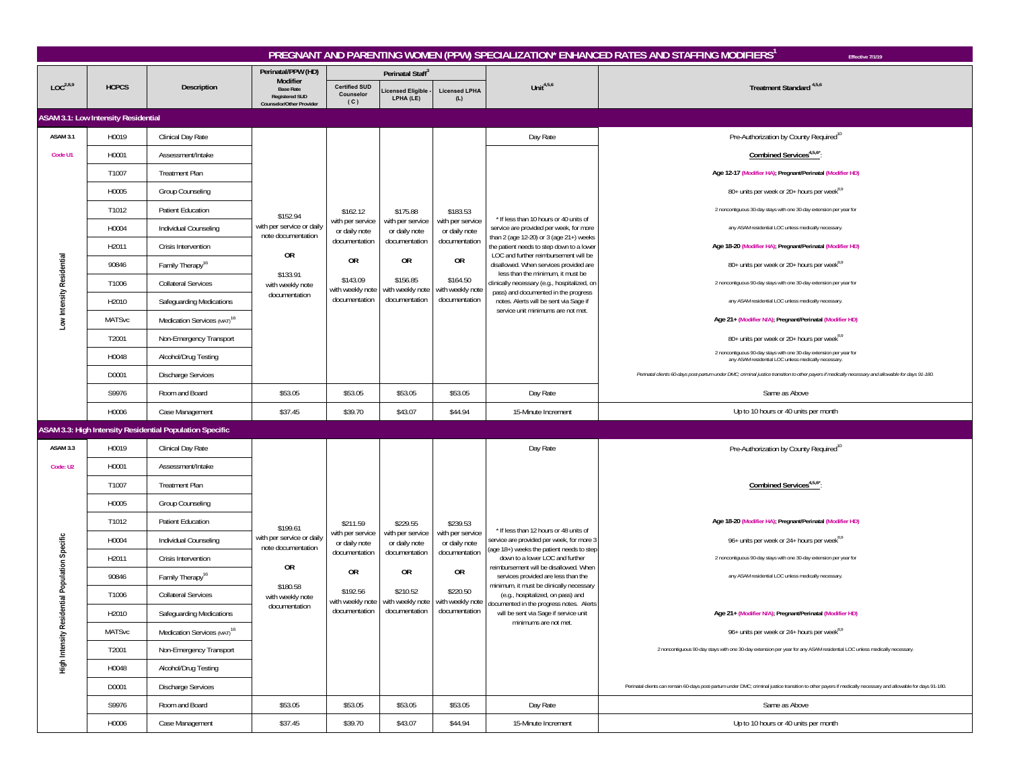|                                                |                                     |                                                          |                                                                       |                                          |                                                                                                           |                                                                                                           |                                                                                                                                                                                                                                                                                                                                                 | PREGNANT AND PARENTING WOMEN (PPW) SPECIALIZATION* ENHANCED RATES AND STAFFING MODIFIERS <sup>1</sup><br>Effective 7/1/19                                     |
|------------------------------------------------|-------------------------------------|----------------------------------------------------------|-----------------------------------------------------------------------|------------------------------------------|-----------------------------------------------------------------------------------------------------------|-----------------------------------------------------------------------------------------------------------|-------------------------------------------------------------------------------------------------------------------------------------------------------------------------------------------------------------------------------------------------------------------------------------------------------------------------------------------------|---------------------------------------------------------------------------------------------------------------------------------------------------------------|
|                                                |                                     |                                                          | Perinatal/PPW (HD)<br>Modifier                                        |                                          | Perinatal Staff <sup>3</sup>                                                                              |                                                                                                           |                                                                                                                                                                                                                                                                                                                                                 |                                                                                                                                                               |
| LOC <sup>2,8,9</sup>                           | <b>HCPCS</b>                        | Description                                              | <b>Base Rate</b><br><b>Registered SUD</b><br>Counselor/Other Provider | <b>Certified SUD</b><br>Counselor<br>(C) | icensed Eligible<br>LPHA (LE)                                                                             | <b>Licensed LPHA</b><br>(L)                                                                               | Unit $4,5,6$                                                                                                                                                                                                                                                                                                                                    | Treatment Standard <sup>4,5,6</sup>                                                                                                                           |
|                                                | ASAM 3.1: Low Intensity Residential |                                                          |                                                                       |                                          |                                                                                                           |                                                                                                           |                                                                                                                                                                                                                                                                                                                                                 |                                                                                                                                                               |
| <b>ASAM 3.1</b>                                | H0019                               | Clinical Day Rate                                        |                                                                       |                                          |                                                                                                           |                                                                                                           | Day Rate                                                                                                                                                                                                                                                                                                                                        | Pre-Authorization by County Required <sup>10</sup>                                                                                                            |
| Code U1                                        | H0001                               | Assessment/Intake                                        |                                                                       |                                          |                                                                                                           |                                                                                                           |                                                                                                                                                                                                                                                                                                                                                 | Combined Services <sup>4,5,6*</sup> :                                                                                                                         |
|                                                | T1007                               | <b>Treatment Plan</b>                                    |                                                                       |                                          |                                                                                                           |                                                                                                           |                                                                                                                                                                                                                                                                                                                                                 | Age 12-17 (Modifier HA); Pregnant/Perinatal (Modifier HD)                                                                                                     |
|                                                | H0005                               | Group Counseling                                         |                                                                       |                                          |                                                                                                           |                                                                                                           |                                                                                                                                                                                                                                                                                                                                                 | 80+ units per week or 20+ hours per week <sup>8,9</sup>                                                                                                       |
|                                                | T1012                               | <b>Patient Education</b>                                 | \$152.94                                                              | \$162.12                                 | \$175.88                                                                                                  | \$183.53                                                                                                  | * If less than 10 hours or 40 units of                                                                                                                                                                                                                                                                                                          | 2 noncontiguous 30-day stays with one 30-day extension per year for                                                                                           |
|                                                | H0004                               | Individual Counseling                                    | with per service or daily<br>note documentation                       | with per service<br>or daily note        | with per service<br>or daily note<br>documentation<br>0R<br>\$156.85<br>with weekly note<br>documentation | with per service<br>or daily note<br>documentation<br>0R<br>\$164.50<br>with weekly note<br>documentation | service are provided per week, for more<br>than 2 (age 12-20) or 3 (age 21+) weeks<br>the patient needs to step down to a lower<br>LOC and further reimbursement will be<br>disallowed. When services provided are<br>less than the minimum, it must be<br>clinically necessary (e.g., hospitalized, on<br>pass) and documented in the progress | any ASAM residential LOC unless medically necessary.                                                                                                          |
|                                                | H2011                               | Crisis Intervention                                      |                                                                       | documentation                            |                                                                                                           |                                                                                                           |                                                                                                                                                                                                                                                                                                                                                 | Age 18-20 (Modifier HA); Pregnant/Perinatal (Modifier HD)                                                                                                     |
|                                                | 90846                               | Family Therapy <sup>16</sup>                             | OR                                                                    | 0R                                       |                                                                                                           |                                                                                                           |                                                                                                                                                                                                                                                                                                                                                 | 80+ units per week or 20+ hours per week <sup>8,9</sup>                                                                                                       |
|                                                | T1006                               | <b>Collateral Services</b>                               | \$133.91<br>with weekly note                                          | \$143.09<br>with weekly note             |                                                                                                           |                                                                                                           |                                                                                                                                                                                                                                                                                                                                                 | 2 noncontiguous 90-day stays with one 30-day extension per year for                                                                                           |
| Low Intensity Residential                      | H2010                               | Safeguarding Medications                                 | documentation                                                         | documentation                            |                                                                                                           |                                                                                                           | notes. Alerts will be sent via Sage if                                                                                                                                                                                                                                                                                                          | any ASAM residential LOC unless medically necessary.                                                                                                          |
|                                                | <b>MATSvc</b>                       | Medication Services (MAT) <sup>16</sup>                  |                                                                       |                                          |                                                                                                           |                                                                                                           | service unit minimums are not met.                                                                                                                                                                                                                                                                                                              | Age 21+ (Modifier N/A); Pregnant/Perinatal (Modifier HD)                                                                                                      |
|                                                | T2001                               | Non-Emergency Transport                                  |                                                                       |                                          |                                                                                                           |                                                                                                           |                                                                                                                                                                                                                                                                                                                                                 | 80+ units per week or 20+ hours per week <sup>8,9</sup>                                                                                                       |
|                                                | H0048                               | Alcohol/Drug Testing                                     |                                                                       |                                          |                                                                                                           |                                                                                                           |                                                                                                                                                                                                                                                                                                                                                 | 2 noncontiguous 90-day stays with one 30-day extension per year for<br>any ASAM residential LOC unless medically necessary.                                   |
|                                                | D0001                               | <b>Discharge Services</b>                                |                                                                       |                                          |                                                                                                           |                                                                                                           |                                                                                                                                                                                                                                                                                                                                                 | Perinatal clients 60-days post-partum under DMC; criminal justice transition to other payers if medically necessary and allowable for days 91-180.            |
|                                                | S9976                               | Room and Board                                           | \$53.05                                                               | \$53.05                                  | \$53.05                                                                                                   | \$53.05                                                                                                   | Day Rate                                                                                                                                                                                                                                                                                                                                        | Same as Above                                                                                                                                                 |
|                                                | H0006                               | Case Management                                          | \$37.45                                                               | \$39.70                                  | \$43.07                                                                                                   | \$44.94                                                                                                   | 15-Minute Increment                                                                                                                                                                                                                                                                                                                             | Up to 10 hours or 40 units per month                                                                                                                          |
|                                                |                                     | ASAM 3.3: High Intensity Residential Population Specific |                                                                       |                                          |                                                                                                           |                                                                                                           |                                                                                                                                                                                                                                                                                                                                                 |                                                                                                                                                               |
| ASAM 3.3                                       | H0019                               | Clinical Day Rate                                        |                                                                       |                                          |                                                                                                           |                                                                                                           | Day Rate                                                                                                                                                                                                                                                                                                                                        | Pre-Authorization by County Required <sup>10</sup>                                                                                                            |
| Code: U2                                       | H0001                               | Assessment/Intake                                        |                                                                       |                                          |                                                                                                           |                                                                                                           |                                                                                                                                                                                                                                                                                                                                                 |                                                                                                                                                               |
|                                                | T1007                               | <b>Treatment Plan</b>                                    |                                                                       |                                          |                                                                                                           |                                                                                                           |                                                                                                                                                                                                                                                                                                                                                 | Combined Services <sup>4,5,6*</sup>                                                                                                                           |
|                                                | H0005                               | Group Counseling                                         |                                                                       |                                          |                                                                                                           |                                                                                                           |                                                                                                                                                                                                                                                                                                                                                 |                                                                                                                                                               |
|                                                | T1012                               | Patient Education                                        | \$199.61                                                              | \$211.59                                 | \$229.55                                                                                                  | \$239.53                                                                                                  |                                                                                                                                                                                                                                                                                                                                                 | Age 18-20 (Modifier HA); Pregnant/Perinatal (Modifier HD)                                                                                                     |
|                                                | H0004                               | Individual Counseling                                    | with per service or daily<br>note documentation                       | with per service<br>or daily note        | with per service<br>or daily note                                                                         | with per service<br>or daily note                                                                         | * If less than 12 hours or 48 units of<br>service are provided per week, for more 3                                                                                                                                                                                                                                                             | 96+ units per week or 24+ hours per week <sup>8,9</sup>                                                                                                       |
| High Intensity Residential Population Specific | H2011                               | Crisis Intervention                                      | 0R                                                                    | documentation                            | documentation                                                                                             | documentation                                                                                             | (age 18+) weeks the patient needs to step<br>down to a lower LOC and further                                                                                                                                                                                                                                                                    | 2 noncontiguous 90-day stays with one 30-day extension per year for                                                                                           |
|                                                | 90846                               | Family Therapy <sup>16</sup>                             |                                                                       | 0R                                       | <b>OR</b>                                                                                                 | 0R                                                                                                        | reimbursement will be disallowed. When<br>services provided are less than the                                                                                                                                                                                                                                                                   | any ASAM residential LOC unless medically necessary.                                                                                                          |
|                                                | T1006                               | <b>Collateral Services</b>                               | \$180.58<br>with weekly note                                          | \$192.56                                 | \$210.52<br>with weekly note with weekly note with weekly note                                            | \$220.50                                                                                                  | minimum, it must be clinically necessary<br>(e.g., hospitalized, on pass) and<br>documented in the progress notes. Alerts                                                                                                                                                                                                                       |                                                                                                                                                               |
|                                                | H2010                               | Safeguarding Medications                                 | documentation                                                         | documentation                            | documentation                                                                                             | documentation                                                                                             | will be sent via Sage if service unit                                                                                                                                                                                                                                                                                                           | Age 21+ (Modifier N/A); Pregnant/Perinatal (Modifier HD)                                                                                                      |
|                                                | MATSvc                              | Medication Services (MAT) <sup>16</sup>                  |                                                                       |                                          |                                                                                                           |                                                                                                           | minimums are not met.                                                                                                                                                                                                                                                                                                                           | 96+ units per week or 24+ hours per week <sup>8,9</sup>                                                                                                       |
|                                                | T2001                               | Non-Emergency Transport                                  |                                                                       |                                          |                                                                                                           |                                                                                                           |                                                                                                                                                                                                                                                                                                                                                 | 2 noncontiguous 90-day stays with one 30-day extension per year for any ASAM residential LOC unless medically necessary.                                      |
|                                                | H0048                               | Alcohol/Drug Testing                                     |                                                                       |                                          |                                                                                                           |                                                                                                           |                                                                                                                                                                                                                                                                                                                                                 |                                                                                                                                                               |
|                                                | D0001                               | <b>Discharge Services</b>                                |                                                                       |                                          |                                                                                                           |                                                                                                           |                                                                                                                                                                                                                                                                                                                                                 | Perinatal clients can remain 60-days post-partum under DMC; criminal justice transition to other payers if medically necessary and allowable for days 91-180. |
|                                                | S9976                               | Room and Board                                           | \$53.05                                                               | \$53.05                                  | \$53.05                                                                                                   | \$53.05                                                                                                   | Day Rate                                                                                                                                                                                                                                                                                                                                        | Same as Above                                                                                                                                                 |
|                                                | H0006                               | Case Management                                          | \$37.45                                                               | \$39.70                                  | \$43.07                                                                                                   | \$44.94                                                                                                   | 15-Minute Increment                                                                                                                                                                                                                                                                                                                             | Up to 10 hours or 40 units per month                                                                                                                          |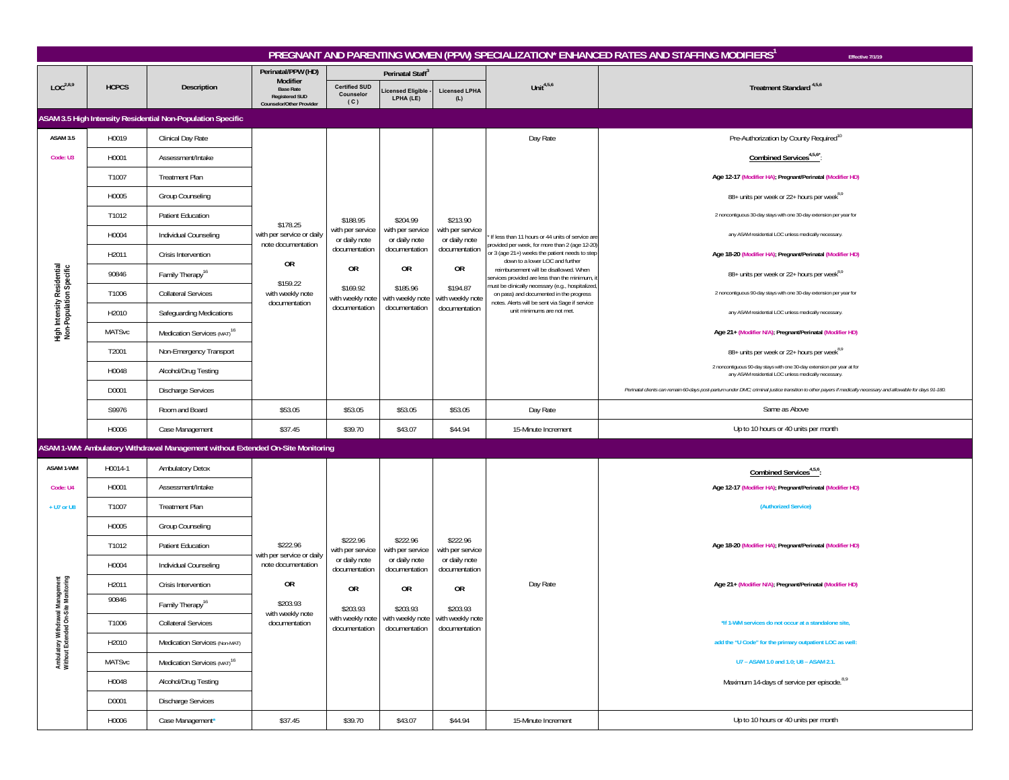|                                                                         | PREGNANT AND PARENTING WOMEN (PPW) SPECIALIZATION* ENHANCED RATES AND STAFFING MODIFIERS<br>Effective 7/1/19 |                                                                                 |                                                                       |                                          |                                                                     |                                   |                                                                                                                                                |                                                                                                                                                               |  |  |  |  |
|-------------------------------------------------------------------------|--------------------------------------------------------------------------------------------------------------|---------------------------------------------------------------------------------|-----------------------------------------------------------------------|------------------------------------------|---------------------------------------------------------------------|-----------------------------------|------------------------------------------------------------------------------------------------------------------------------------------------|---------------------------------------------------------------------------------------------------------------------------------------------------------------|--|--|--|--|
|                                                                         |                                                                                                              |                                                                                 | Perinatal/PPW (HD)<br>Modifier                                        |                                          | Perinatal Staff <sup>3</sup>                                        |                                   |                                                                                                                                                |                                                                                                                                                               |  |  |  |  |
| LOC <sup>2,8,9</sup>                                                    | <b>HCPCS</b>                                                                                                 | Description                                                                     | <b>Base Rate</b><br><b>Registered SUD</b><br>Counselor/Other Provider | <b>Certified SUD</b><br>Counselor<br>(C) | icensed Eligible<br>LPHA (LE)                                       | <b>Licensed LPHA</b><br>(L)       | Unit $4,5,6$                                                                                                                                   | Treatment Standard <sup>4,5,6</sup>                                                                                                                           |  |  |  |  |
|                                                                         |                                                                                                              | ASAM 3.5 High Intensity Residential Non-Population Specific                     |                                                                       |                                          |                                                                     |                                   |                                                                                                                                                |                                                                                                                                                               |  |  |  |  |
| <b>ASAM 3.5</b>                                                         | H0019                                                                                                        | Clinical Day Rate                                                               |                                                                       |                                          |                                                                     |                                   | Day Rate                                                                                                                                       | Pre-Authorization by County Required <sup>10</sup>                                                                                                            |  |  |  |  |
| Code: U3                                                                | H0001                                                                                                        | Assessment/Intake                                                               |                                                                       |                                          |                                                                     |                                   |                                                                                                                                                | Combined Services <sup>4,5,6</sup>                                                                                                                            |  |  |  |  |
|                                                                         | T1007                                                                                                        | <b>Treatment Plan</b>                                                           |                                                                       |                                          |                                                                     |                                   |                                                                                                                                                | Age 12-17 (Modifier HA); Pregnant/Perinatal (Modifier HD)                                                                                                     |  |  |  |  |
|                                                                         | H0005                                                                                                        | Group Counseling                                                                |                                                                       |                                          |                                                                     |                                   |                                                                                                                                                | 88+ units per week or 22+ hours per week <sup>8,9</sup>                                                                                                       |  |  |  |  |
|                                                                         | T1012                                                                                                        | Patient Education                                                               | \$178.25                                                              | \$188.95                                 | \$204.99                                                            | \$213.90                          | If less than 11 hours or 44 units of service are<br>provided per week, for more than 2 (age 12-20                                              | 2 noncontiguous 30-day stays with one 30-day extension per year for                                                                                           |  |  |  |  |
|                                                                         | H0004                                                                                                        | Individual Counseling                                                           | with per service or daily                                             | with per service<br>or daily note        | with per service<br>or daily note                                   | with per service<br>or daily note |                                                                                                                                                | any ASAM residential LOC unless medically necessary.                                                                                                          |  |  |  |  |
|                                                                         | H2011                                                                                                        | Crisis Intervention                                                             | note documentation<br>0R                                              | documentation                            | documentation                                                       | documentation                     | or 3 (age 21+) weeks the patient needs to step<br>down to a lower LOC and further                                                              | Age 18-20 (Modifier HA); Pregnant/Perinatal (Modifier HD)                                                                                                     |  |  |  |  |
|                                                                         | 90846                                                                                                        | Family Therapy <sup>16</sup>                                                    |                                                                       | OR                                       | <b>OR</b>                                                           | <b>OR</b>                         | reimbursement will be disallowed. When<br>services provided are less than the minimum,                                                         | 88+ units per week or 22+ hours per week <sup>8,9</sup>                                                                                                       |  |  |  |  |
|                                                                         | T1006                                                                                                        | <b>Collateral Services</b>                                                      | \$159.22<br>with weekly note                                          | \$169.92<br>with weekly note             | \$185.96<br>with weekly note                                        | \$194.87<br>with weekly note      | must be clinically necessary (e.g., hospitalized,<br>on pass) and documented in the progress<br>notes. Alerts will be sent via Sage if service | 2 noncontiguous 90-day stays with one 30-day extension per year for                                                                                           |  |  |  |  |
| High Intensity Residential<br>Non-Population Specific                   | H2010                                                                                                        | Safeguarding Medications                                                        | documentation                                                         | documentation                            | documentation                                                       | documentation                     | unit minimums are not met.                                                                                                                     | any ASAM residential LOC unless medically necessary.                                                                                                          |  |  |  |  |
|                                                                         | <b>MATSvc</b>                                                                                                | Medication Services (MAT) <sup>16</sup>                                         |                                                                       |                                          |                                                                     |                                   |                                                                                                                                                | Age 21+ (Modifier N/A); Pregnant/Perinatal (Modifier HD)                                                                                                      |  |  |  |  |
|                                                                         | T2001                                                                                                        | Non-Emergency Transport                                                         |                                                                       |                                          |                                                                     |                                   |                                                                                                                                                | 88+ units per week or 22+ hours per week <sup>8,9</sup>                                                                                                       |  |  |  |  |
|                                                                         | H0048                                                                                                        | Alcohol/Drug Testing                                                            |                                                                       |                                          |                                                                     |                                   |                                                                                                                                                | 2 noncontiguous 90-day stays with one 30-day extension per year at for<br>any ASAM residential LOC unless medically necessary.                                |  |  |  |  |
|                                                                         | D0001                                                                                                        | <b>Discharge Services</b>                                                       |                                                                       |                                          |                                                                     |                                   |                                                                                                                                                | Perinatal clients can remain 60-days post-partum under DMC; criminal justice transition to other payers if medically necessary and allowable for days 91-180. |  |  |  |  |
|                                                                         | S9976                                                                                                        | Room and Board                                                                  | \$53.05                                                               | \$53.05                                  | \$53.05                                                             | \$53.05                           | Day Rate                                                                                                                                       | Same as Above                                                                                                                                                 |  |  |  |  |
|                                                                         | H0006                                                                                                        | Case Management                                                                 | \$37.45                                                               | \$39.70                                  | \$43.07                                                             | \$44.94                           | 15-Minute Increment                                                                                                                            | Up to 10 hours or 40 units per month                                                                                                                          |  |  |  |  |
|                                                                         |                                                                                                              | ASAM 1-WM: Ambulatory Withdrawal Management without Extended On-Site Monitoring |                                                                       |                                          |                                                                     |                                   |                                                                                                                                                |                                                                                                                                                               |  |  |  |  |
| ASAM 1-WM                                                               | H0014-1                                                                                                      | <b>Ambulatory Detox</b>                                                         |                                                                       |                                          |                                                                     |                                   |                                                                                                                                                | Combined Services <sup>4,5,6</sup> :                                                                                                                          |  |  |  |  |
| Code: U4                                                                | H0001                                                                                                        | Assessment/Intake                                                               |                                                                       |                                          |                                                                     |                                   |                                                                                                                                                | Age 12-17 (Modifier HA); Pregnant/Perinatal (Modifier HD)                                                                                                     |  |  |  |  |
| + U7 or U8                                                              | T1007                                                                                                        | <b>Treatment Plan</b>                                                           |                                                                       |                                          |                                                                     |                                   |                                                                                                                                                | (Authorized Service)                                                                                                                                          |  |  |  |  |
|                                                                         | H0005                                                                                                        | Group Counseling                                                                |                                                                       |                                          |                                                                     |                                   |                                                                                                                                                |                                                                                                                                                               |  |  |  |  |
|                                                                         | T1012                                                                                                        | Patient Education                                                               | \$222.96<br>with per service or daily                                 | \$222.96<br>with per service             | \$222.96<br>with per service                                        | \$222.96<br>with per service      |                                                                                                                                                | Age 18-20 (Modifier HA); Pregnant/Perinatal (Modifier HD)                                                                                                     |  |  |  |  |
|                                                                         | H0004                                                                                                        | Individual Counseling                                                           | note documentation                                                    | or daily note<br>documentation           | or daily note<br>documentation                                      | or daily note<br>documentation    |                                                                                                                                                |                                                                                                                                                               |  |  |  |  |
|                                                                         | H2011                                                                                                        | Crisis Intervention                                                             | 0R                                                                    | <b>OR</b>                                | 0R                                                                  | 0R                                | Day Rate                                                                                                                                       | Age 21+ (Modifier N/A); Pregnant/Perinatal (Modifier HD)                                                                                                      |  |  |  |  |
|                                                                         | 90846                                                                                                        | Family Therapy <sup>16</sup>                                                    | \$203.93                                                              | \$203.93                                 | \$203.93                                                            | \$203.93                          |                                                                                                                                                |                                                                                                                                                               |  |  |  |  |
|                                                                         | T1006                                                                                                        | <b>Collateral Services</b>                                                      | with weekly note<br>documentation                                     | documentation                            | with weekly note with weekly note with weekly note<br>documentation | documentation                     |                                                                                                                                                | *If 1-WM services do not occur at a standalone site,                                                                                                          |  |  |  |  |
|                                                                         | H2010                                                                                                        | Medication Services (Non-MAT)                                                   |                                                                       |                                          |                                                                     |                                   |                                                                                                                                                | add the "U Code" for the primary outpatient LOC as well:                                                                                                      |  |  |  |  |
| Ambulatory Withdrawal Management<br>Without Extended On-Site Monitoring | <b>MATSvc</b>                                                                                                | Medication Services (MAT) <sup>16</sup>                                         |                                                                       |                                          |                                                                     |                                   |                                                                                                                                                | U7 - ASAM 1.0 and 1.0; U8 - ASAM 2.1.                                                                                                                         |  |  |  |  |
|                                                                         | H0048                                                                                                        | Alcohol/Drug Testing                                                            |                                                                       |                                          |                                                                     |                                   |                                                                                                                                                | Maximum 14-days of service per episode. <sup>8,9</sup>                                                                                                        |  |  |  |  |
|                                                                         | D0001                                                                                                        | <b>Discharge Services</b>                                                       |                                                                       |                                          |                                                                     |                                   |                                                                                                                                                |                                                                                                                                                               |  |  |  |  |
|                                                                         | H0006                                                                                                        | Case Management*                                                                | \$37.45                                                               | \$39.70                                  | \$43.07                                                             | \$44.94                           | 15-Minute Increment                                                                                                                            | Up to 10 hours or 40 units per month                                                                                                                          |  |  |  |  |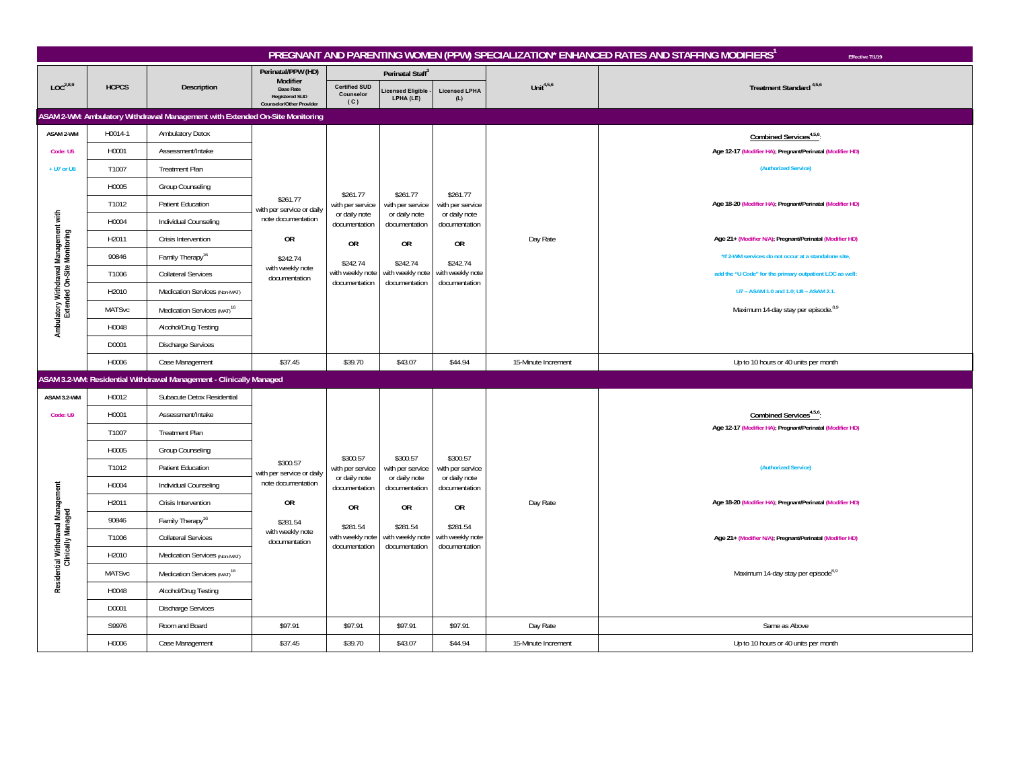|                                                                      | PREGNANT AND PARENTING WOMEN (PPW) SPECIALIZATION* ENHANCED RATES AND STAFFING MODIFIERS <sup>1</sup><br>Effective 7/1/19 |                                                                              |                                                 |                                   |                                |                                                    |                     |                                                           |  |  |  |  |  |
|----------------------------------------------------------------------|---------------------------------------------------------------------------------------------------------------------------|------------------------------------------------------------------------------|-------------------------------------------------|-----------------------------------|--------------------------------|----------------------------------------------------|---------------------|-----------------------------------------------------------|--|--|--|--|--|
|                                                                      |                                                                                                                           |                                                                              | Perinatal/PPW (HD)<br>Modifier                  |                                   | Perinatal Staff <sup>3</sup>   |                                                    |                     |                                                           |  |  |  |  |  |
| LOC <sup>2,8,9</sup>                                                 | <b>HCPCS</b>                                                                                                              | Description                                                                  | <b>Base Rate</b><br><b>Registered SUD</b>       | <b>Certified SUD</b><br>Counselor | icensed Eligible<br>LPHA (LE)  | <b>Licensed LPHA</b><br>(L)                        | Unit $4,5,6$        | Treatment Standard <sup>4,5,6</sup>                       |  |  |  |  |  |
|                                                                      |                                                                                                                           | ASAM 2-WM: Ambulatory Withdrawal Management with Extended On-Site Monitoring | Counselor/Other Provider                        | (C)                               |                                |                                                    |                     |                                                           |  |  |  |  |  |
| ASAM 2-WM                                                            | H0014-1                                                                                                                   | Ambulatory Detox                                                             |                                                 |                                   |                                |                                                    |                     | Combined Services <sup>4,5,6</sup>                        |  |  |  |  |  |
| Code: U5                                                             | H0001                                                                                                                     | Assessment/Intake                                                            |                                                 |                                   |                                |                                                    |                     | Age 12-17 (Modifier HA); Pregnant/Perinatal (Modifier HD) |  |  |  |  |  |
| + U7 or U8                                                           | T1007                                                                                                                     | <b>Treatment Plan</b>                                                        |                                                 |                                   |                                |                                                    |                     | (Authorized Service)                                      |  |  |  |  |  |
|                                                                      | H0005                                                                                                                     | Group Counseling                                                             |                                                 |                                   |                                |                                                    |                     |                                                           |  |  |  |  |  |
|                                                                      | T1012                                                                                                                     | Patient Education                                                            | \$261.77                                        | \$261.77<br>with per service      | \$261.77<br>with per service   | \$261.77<br>with per service                       |                     | Age 18-20 (Modifier HA); Pregnant/Perinatal (Modifier HD) |  |  |  |  |  |
|                                                                      | H0004                                                                                                                     | Individual Counseling                                                        | with per service or daily<br>note documentation | or daily note<br>documentation    | or daily note<br>documentation | or daily note<br>documentation                     |                     |                                                           |  |  |  |  |  |
|                                                                      | H2011                                                                                                                     | Crisis Intervention                                                          | <b>OR</b>                                       |                                   |                                |                                                    | Day Rate            | Age 21+ (Modifier N/A); Pregnant/Perinatal (Modifier HD)  |  |  |  |  |  |
|                                                                      | 90846                                                                                                                     | Family Therapy <sup>16</sup>                                                 | \$242.74                                        | <b>OR</b>                         | <b>OR</b>                      | <b>OR</b>                                          |                     | *If 2-WM services do not occur at a standalone site.      |  |  |  |  |  |
|                                                                      | T1006                                                                                                                     | <b>Collateral Services</b>                                                   | with weekly note<br>documentation               | \$242.74<br>with weekly note      | \$242.74<br>with weekly note   | \$242.74<br>with weekly note                       |                     | add the "U Code" for the primary outpatient LOC as well:  |  |  |  |  |  |
|                                                                      | H2010                                                                                                                     | Medication Services (Non-MAT)                                                |                                                 | documentation                     | documentation                  | documentation                                      |                     | U7 - ASAM 1.0 and 1.0; U8 - ASAM 2.1.                     |  |  |  |  |  |
| Ambulatory Withdrawal Management with<br>Extended On-Site Monitoring | <b>MATSvc</b>                                                                                                             | Medication Services (MAT) <sup>16</sup>                                      |                                                 |                                   |                                |                                                    |                     | Maximum 14-day stay per episode. <sup>8,9</sup>           |  |  |  |  |  |
|                                                                      | H0048                                                                                                                     | Alcohol/Drug Testing                                                         |                                                 |                                   |                                |                                                    |                     |                                                           |  |  |  |  |  |
|                                                                      | D0001                                                                                                                     | <b>Discharge Services</b>                                                    |                                                 |                                   |                                |                                                    |                     |                                                           |  |  |  |  |  |
|                                                                      | H0006                                                                                                                     | Case Management                                                              | \$37.45                                         | \$39.70                           | \$43.07                        | \$44.94                                            | 15-Minute Increment | Up to 10 hours or 40 units per month                      |  |  |  |  |  |
|                                                                      |                                                                                                                           | ASAM 3.2-WM: Residential Withdrawal Management - Clinically Managed          |                                                 |                                   |                                |                                                    |                     |                                                           |  |  |  |  |  |
| ASAM 3.2-WM                                                          | H0012                                                                                                                     | Subacute Detox Residential                                                   |                                                 |                                   |                                |                                                    |                     |                                                           |  |  |  |  |  |
| Code: U9                                                             | H0001                                                                                                                     | Assessment/Intake                                                            |                                                 |                                   |                                |                                                    |                     | Combined Services <sup>4,5,6</sup>                        |  |  |  |  |  |
|                                                                      | T1007                                                                                                                     | <b>Treatment Plan</b>                                                        |                                                 |                                   |                                |                                                    |                     | Age 12-17 (Modifier HA); Pregnant/Perinatal (Modifier HD) |  |  |  |  |  |
|                                                                      | H0005                                                                                                                     | Group Counseling                                                             |                                                 | \$300.57                          | \$300.57                       | \$300.57                                           |                     |                                                           |  |  |  |  |  |
|                                                                      | T1012                                                                                                                     | Patient Education                                                            | \$300.57<br>with per service or daily           | with per service                  | with per service               | with per service                                   |                     | (Authorized Service)                                      |  |  |  |  |  |
|                                                                      | H0004                                                                                                                     | Individual Counseling                                                        | note documentation                              | or daily note<br>documentation    | or daily note<br>documentation | or daily note<br>documentation                     |                     |                                                           |  |  |  |  |  |
|                                                                      | H2011                                                                                                                     | Crisis Intervention                                                          | 0R                                              | <b>OR</b>                         | 0 <sub>R</sub>                 | 0 <sub>R</sub>                                     | Day Rate            | Age 18-20 (Modifier HA); Pregnant/Perinatal (Modifier HD) |  |  |  |  |  |
|                                                                      | 90846                                                                                                                     | Family Therapy <sup>16</sup>                                                 | \$281.54                                        | \$281.54                          | \$281.54                       | \$281.54                                           |                     |                                                           |  |  |  |  |  |
| Residential Withdrawal Management<br>Clinically Managed              | T1006                                                                                                                     | <b>Collateral Services</b>                                                   | with weekly note<br>documentation               | with weekly note<br>documentation | documentation                  | with weekly note with weekly note<br>documentation |                     | Age 21+ (Modifier N/A); Pregnant/Perinatal (Modifier HD)  |  |  |  |  |  |
|                                                                      | H2010                                                                                                                     | Medication Services (Non-MAT)                                                |                                                 |                                   |                                |                                                    |                     |                                                           |  |  |  |  |  |
|                                                                      | <b>MATSvc</b>                                                                                                             | Medication Services (MAT) <sup>16</sup>                                      |                                                 |                                   |                                |                                                    |                     | Maximum 14-day stay per episode <sup>8,9</sup>            |  |  |  |  |  |
|                                                                      | H0048                                                                                                                     | Alcohol/Drug Testing                                                         |                                                 |                                   |                                |                                                    |                     |                                                           |  |  |  |  |  |
|                                                                      | D0001                                                                                                                     | <b>Discharge Services</b>                                                    |                                                 |                                   |                                |                                                    |                     |                                                           |  |  |  |  |  |
|                                                                      | S9976                                                                                                                     | Room and Board                                                               | \$97.91                                         | \$97.91                           | \$97.91                        | \$97.91                                            | Day Rate            | Same as Above                                             |  |  |  |  |  |
|                                                                      | H0006                                                                                                                     | Case Management                                                              | \$37.45                                         | \$39.70                           | \$43.07                        | \$44.94                                            | 15-Minute Increment | Up to 10 hours or 40 units per month                      |  |  |  |  |  |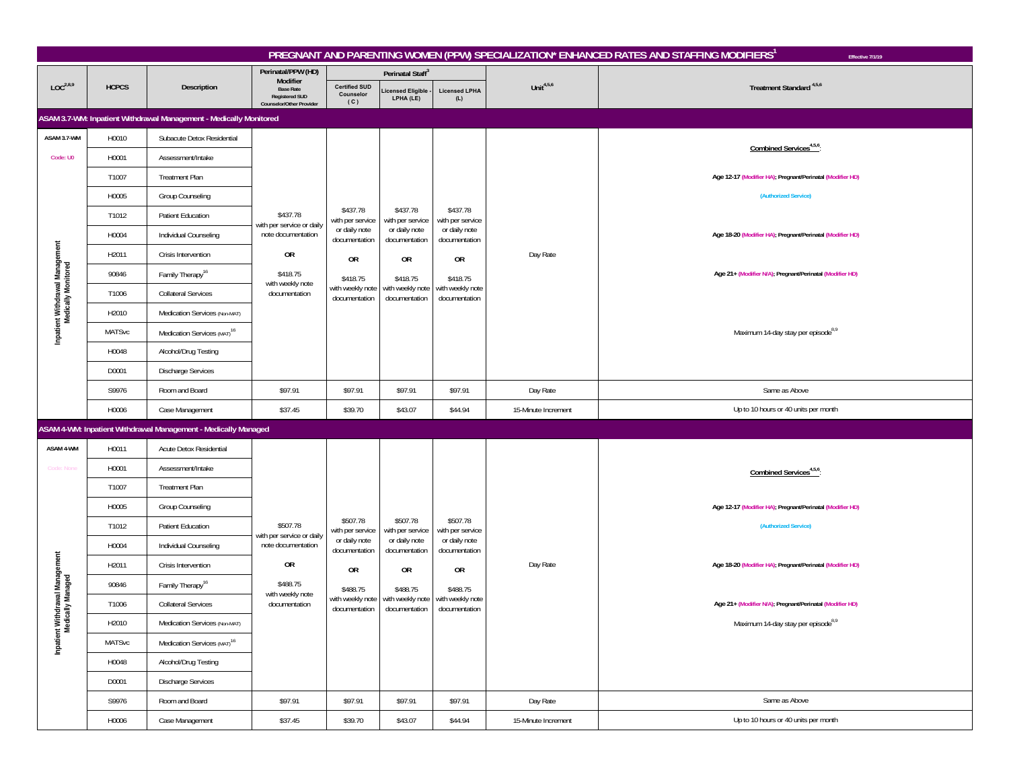|                                                        | PREGNANT AND PARENTING WOMEN (PPW) SPECIALIZATION* ENHANCED RATES AND STAFFING MODIFIERS<br>Effective 7/1/19 |                                                                    |                                                                       |                                          |                                                                                                 |                                   |                     |                                                           |  |  |  |  |  |
|--------------------------------------------------------|--------------------------------------------------------------------------------------------------------------|--------------------------------------------------------------------|-----------------------------------------------------------------------|------------------------------------------|-------------------------------------------------------------------------------------------------|-----------------------------------|---------------------|-----------------------------------------------------------|--|--|--|--|--|
|                                                        |                                                                                                              |                                                                    | Perinatal/PPW (HD)<br>Modifier                                        |                                          | Perinatal Staff <sup>3</sup>                                                                    |                                   |                     |                                                           |  |  |  |  |  |
| LOC <sup>2,8,9</sup>                                   | <b>HCPCS</b>                                                                                                 | Description                                                        | <b>Base Rate</b><br><b>Registered SUD</b><br>Counselor/Other Provider | <b>Certified SUD</b><br>Counselor<br>(C) | icensed Eligible<br>LPHA (LE)                                                                   | <b>Licensed LPHA</b><br>(L)       | Unit $4,5,6$        | Treatment Standard <sup>4,5,6</sup>                       |  |  |  |  |  |
|                                                        |                                                                                                              | ASAM 3.7-WM: Inpatient Withdrawal Management - Medically Monitored |                                                                       |                                          |                                                                                                 |                                   |                     |                                                           |  |  |  |  |  |
| ASAM 3.7-WM                                            | H0010                                                                                                        | Subacute Detox Residential                                         |                                                                       |                                          |                                                                                                 |                                   |                     |                                                           |  |  |  |  |  |
| Code: U0                                               | H0001                                                                                                        | Assessment/Intake                                                  |                                                                       |                                          |                                                                                                 |                                   |                     | Combined Services <sup>4,5,6</sup> :                      |  |  |  |  |  |
|                                                        | T1007                                                                                                        | <b>Treatment Plan</b>                                              |                                                                       |                                          |                                                                                                 |                                   |                     | Age 12-17 (Modifier HA); Pregnant/Perinatal (Modifier HD) |  |  |  |  |  |
|                                                        | H0005                                                                                                        | Group Counseling                                                   |                                                                       |                                          |                                                                                                 |                                   |                     | (Authorized Service)                                      |  |  |  |  |  |
|                                                        | T1012                                                                                                        | Patient Education                                                  | \$437.78                                                              | \$437.78<br>with per service             | \$437.78<br>with per service                                                                    | \$437.78<br>with per service      |                     |                                                           |  |  |  |  |  |
|                                                        | H0004                                                                                                        | Individual Counseling                                              | with per service or daily<br>note documentation                       | or daily note<br>documentation           | or daily note<br>documentation                                                                  | or daily note<br>documentation    |                     | Age 18-20 (Modifier HA); Pregnant/Perinatal (Modifier HD) |  |  |  |  |  |
|                                                        | H2011                                                                                                        | Crisis Intervention                                                | 0R                                                                    | 0R                                       | 0R                                                                                              | <b>OR</b>                         | Day Rate            |                                                           |  |  |  |  |  |
|                                                        | 90846                                                                                                        | Family Therapy <sup>16</sup>                                       | \$418.75                                                              | \$418.75                                 | \$418.75                                                                                        | \$418.75                          |                     | Age 21+ (Modifier N/A); Pregnant/Perinatal (Modifier HD)  |  |  |  |  |  |
|                                                        | T1006                                                                                                        | <b>Collateral Services</b>                                         | with weekly note<br>documentation                                     | with weekly note<br>documentation        | with weekly note<br>documentation                                                               | with weekly note<br>documentation |                     |                                                           |  |  |  |  |  |
| Inpatient Withdrawal Management<br>Medically Monitored | H2010                                                                                                        | Medication Services (Non-MAT)                                      |                                                                       |                                          |                                                                                                 |                                   |                     |                                                           |  |  |  |  |  |
|                                                        | <b>MATSvc</b>                                                                                                | Medication Services (MAT) <sup>16</sup>                            |                                                                       |                                          |                                                                                                 |                                   |                     | Maximum 14-day stay per episode <sup>8,9</sup>            |  |  |  |  |  |
|                                                        | H0048                                                                                                        | Alcohol/Drug Testing                                               |                                                                       |                                          |                                                                                                 |                                   |                     |                                                           |  |  |  |  |  |
|                                                        | D0001                                                                                                        | <b>Discharge Services</b>                                          |                                                                       |                                          |                                                                                                 |                                   |                     |                                                           |  |  |  |  |  |
|                                                        | S9976                                                                                                        | Room and Board                                                     | \$97.91                                                               | \$97.91                                  | \$97.91                                                                                         | \$97.91                           | Day Rate            | Same as Above                                             |  |  |  |  |  |
|                                                        | H0006                                                                                                        | Case Management                                                    | \$37.45                                                               | \$39.70                                  | \$43.07                                                                                         | \$44.94                           | 15-Minute Increment | Up to 10 hours or 40 units per month                      |  |  |  |  |  |
|                                                        |                                                                                                              | ASAM 4-WM: Inpatient Withdrawal Management - Medically Managed     |                                                                       |                                          |                                                                                                 |                                   |                     |                                                           |  |  |  |  |  |
| ASAM 4-WM                                              | H0011                                                                                                        | Acute Detox Residential                                            |                                                                       |                                          |                                                                                                 |                                   |                     |                                                           |  |  |  |  |  |
| <b>Code: None</b>                                      | H0001                                                                                                        | Assessment/Intake                                                  |                                                                       |                                          |                                                                                                 |                                   |                     | Combined Services <sup>4,5,6</sup> :                      |  |  |  |  |  |
|                                                        | T1007                                                                                                        | <b>Treatment Plan</b>                                              |                                                                       |                                          |                                                                                                 |                                   |                     |                                                           |  |  |  |  |  |
|                                                        | H0005                                                                                                        | Group Counseling                                                   |                                                                       |                                          |                                                                                                 |                                   |                     | Age 12-17 (Modifier HA); Pregnant/Perinatal (Modifier HD) |  |  |  |  |  |
|                                                        | T1012                                                                                                        | Patient Education                                                  | \$507.78                                                              | \$507.78<br>with per service             | \$507.78<br>with per service                                                                    | \$507.78<br>with per service      |                     | (Authorized Service)                                      |  |  |  |  |  |
|                                                        | H0004                                                                                                        | Individual Counseling                                              | with per service or daily<br>note documentation                       | or daily note<br>documentation           | or daily note<br>documentation                                                                  | or daily note<br>documentation    |                     |                                                           |  |  |  |  |  |
|                                                        | H2011                                                                                                        | Crisis Intervention                                                | OR                                                                    | 0R                                       | OR                                                                                              | 0R                                | Day Rate            | Age 18-20 (Modifier HA); Pregnant/Perinatal (Modifier HD) |  |  |  |  |  |
|                                                        | 90846                                                                                                        | Family Therapy <sup>16</sup>                                       | \$488.75                                                              | \$488.75                                 | \$488.75                                                                                        | \$488.75                          |                     |                                                           |  |  |  |  |  |
|                                                        | T1006                                                                                                        | <b>Collateral Services</b>                                         | with weekly note<br>documentation                                     |                                          | with weekly note with weekly note with weekly note<br>documentation documentation documentation |                                   |                     | Age 21+ (Modifier N/A); Pregnant/Perinatal (Modifier HD)  |  |  |  |  |  |
|                                                        | H2010                                                                                                        | Medication Services (Non-MAT)                                      |                                                                       |                                          |                                                                                                 |                                   |                     | Maximum 14-day stay per episode8,9                        |  |  |  |  |  |
| Inpatient Withdrawal Management<br>Medically Managed   | MATSvc                                                                                                       | Medication Services (MAT) <sup>16</sup>                            |                                                                       |                                          |                                                                                                 |                                   |                     |                                                           |  |  |  |  |  |
|                                                        | H0048                                                                                                        | Alcohol/Drug Testing                                               |                                                                       |                                          |                                                                                                 |                                   |                     |                                                           |  |  |  |  |  |
|                                                        | D0001                                                                                                        | Discharge Services                                                 |                                                                       |                                          |                                                                                                 |                                   |                     |                                                           |  |  |  |  |  |
|                                                        | S9976                                                                                                        | Room and Board                                                     | \$97.91                                                               | \$97.91                                  | \$97.91                                                                                         | \$97.91                           | Day Rate            | Same as Above                                             |  |  |  |  |  |
|                                                        | H0006                                                                                                        | Case Management                                                    | \$37.45                                                               | \$39.70                                  | \$43.07                                                                                         | \$44.94                           | 15-Minute Increment | Up to 10 hours or 40 units per month                      |  |  |  |  |  |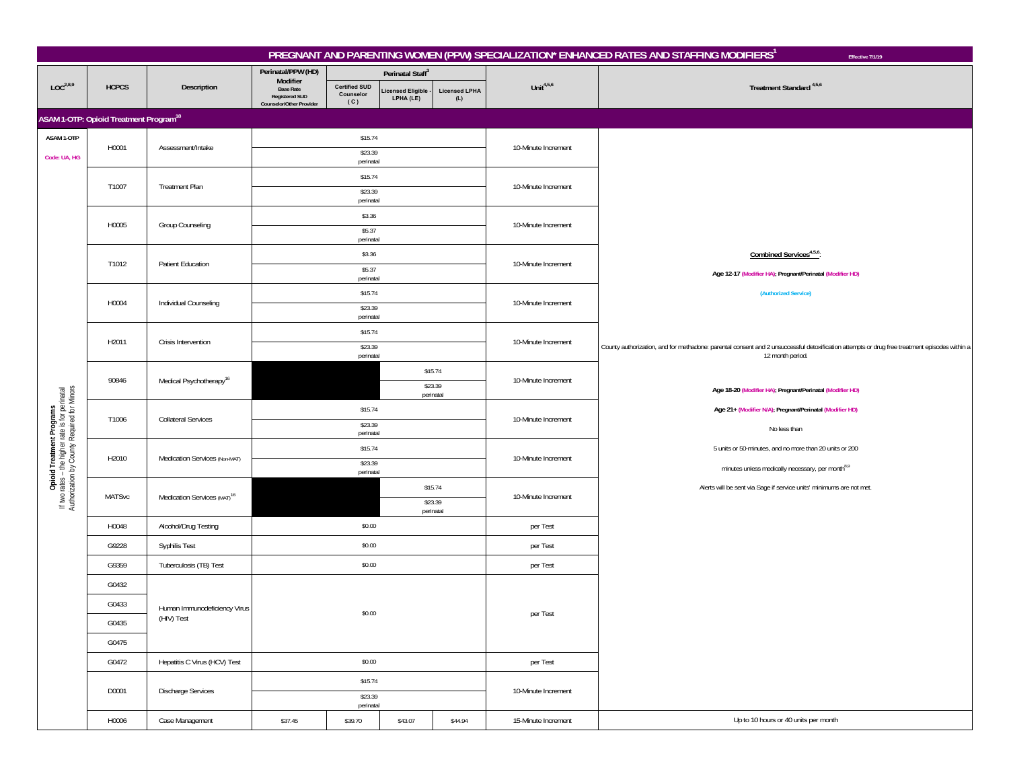|                                                                                                                             |                                                          |                                            |                                                                                   |                                          |                               |                             |                     | PREGNANT AND PARENTING WOMEN (PPW) SPECIALIZATION* ENHANCED RATES AND STAFFING MODIFIERS <sup>1</sup><br>Effective 7/1/19                     |
|-----------------------------------------------------------------------------------------------------------------------------|----------------------------------------------------------|--------------------------------------------|-----------------------------------------------------------------------------------|------------------------------------------|-------------------------------|-----------------------------|---------------------|-----------------------------------------------------------------------------------------------------------------------------------------------|
|                                                                                                                             |                                                          |                                            | Perinatal/PPW (HD)                                                                |                                          | Perinatal Staff <sup>3</sup>  |                             |                     |                                                                                                                                               |
| LOC <sup>2,8,9</sup>                                                                                                        | <b>HCPCS</b>                                             | Description                                | Modifier<br><b>Base Rate</b><br><b>Registered SUD</b><br>Counselor/Other Provider | <b>Certified SUD</b><br>Counselor<br>(C) | icensed Eligible<br>LPHA (LE) | <b>Licensed LPHA</b><br>(L) | Unit $4,5,6$        | Treatment Standard <sup>4,5,6</sup>                                                                                                           |
|                                                                                                                             | <b>ASAM 1-OTP: Opioid Treatment Program<sup>18</sup></b> |                                            |                                                                                   |                                          |                               |                             |                     |                                                                                                                                               |
| ASAM 1-OTP                                                                                                                  |                                                          |                                            |                                                                                   | \$15.74                                  |                               |                             |                     |                                                                                                                                               |
| Code: UA, HG                                                                                                                | H0001                                                    | Assessment/Intake                          |                                                                                   | \$23.39<br>perinatal                     |                               |                             | 10-Minute Increment |                                                                                                                                               |
|                                                                                                                             |                                                          |                                            |                                                                                   | \$15.74                                  |                               |                             |                     |                                                                                                                                               |
|                                                                                                                             | T1007                                                    | <b>Treatment Plan</b>                      |                                                                                   | \$23.39<br>perinatal                     |                               |                             | 10-Minute Increment |                                                                                                                                               |
|                                                                                                                             |                                                          |                                            |                                                                                   | \$3.36                                   |                               |                             |                     |                                                                                                                                               |
|                                                                                                                             | H0005                                                    | <b>Group Counseling</b>                    |                                                                                   | \$5.37<br>perinatal                      |                               |                             | 10-Minute Increment |                                                                                                                                               |
|                                                                                                                             |                                                          |                                            |                                                                                   | \$3.36                                   |                               |                             |                     | Combined Services <sup>4,5,6</sup> :                                                                                                          |
|                                                                                                                             | T1012                                                    | <b>Patient Education</b>                   |                                                                                   | \$5.37                                   |                               |                             | 10-Minute Increment | Age 12-17 (Modifier HA); Pregnant/Perinatal (Modifier HD)                                                                                     |
|                                                                                                                             |                                                          |                                            |                                                                                   | perinatal<br>\$15.74                     |                               |                             |                     | (Authorized Service)                                                                                                                          |
|                                                                                                                             | H0004                                                    | Individual Counseling                      |                                                                                   | \$23.39                                  |                               |                             | 10-Minute Increment |                                                                                                                                               |
|                                                                                                                             |                                                          |                                            |                                                                                   | perinatal<br>\$15.74                     |                               |                             |                     |                                                                                                                                               |
|                                                                                                                             | H2011                                                    | Crisis Intervention                        |                                                                                   | \$23.39                                  |                               |                             | 10-Minute Increment | County authorization, and for methadone: parental consent and 2 unsuccessful detoxification attempts or drug free treatment episodes within a |
|                                                                                                                             |                                                          |                                            |                                                                                   | perinatal                                |                               | \$15.74                     |                     | 12 month period.                                                                                                                              |
|                                                                                                                             | 90846                                                    | Medical Psychotherapy <sup>16</sup>        |                                                                                   |                                          |                               | \$23.39                     | 10-Minute Increment | Age 18-20 (Modifier HA); Pregnant/Perinatal (Modifier HD)                                                                                     |
|                                                                                                                             |                                                          |                                            | perinatal<br>\$15.74                                                              |                                          |                               |                             |                     | Age 21+ (Modifier N/A); Pregnant/Perinatal (Modifier HD)                                                                                      |
| Opioid Treatment Programs<br>If Iwo rates – the higher rate is for perinatal<br>Authorization by County Required for Minors | T1006                                                    | <b>Collateral Services</b>                 |                                                                                   | \$23.39                                  |                               |                             | 10-Minute Increment | No less than                                                                                                                                  |
|                                                                                                                             |                                                          |                                            |                                                                                   | perinatal<br>\$15.74                     |                               |                             |                     | 5 units or 50-minutes, and no more than 20 units or 200                                                                                       |
|                                                                                                                             | H2010                                                    | Medication Services (Non-MAT)              |                                                                                   | \$23.39                                  |                               |                             | 10-Minute Increment | minutes unless medically necessary, per month <sup>8,9</sup>                                                                                  |
|                                                                                                                             |                                                          |                                            |                                                                                   | perinatal                                |                               | \$15.74                     |                     | Alerts will be sent via Sage if service units' minimums are not met.                                                                          |
|                                                                                                                             | <b>MATSvc</b>                                            | Medication Services (MAT) <sup>16</sup>    |                                                                                   |                                          |                               | \$23.39                     | 10-Minute Increment |                                                                                                                                               |
|                                                                                                                             | H0048                                                    | Alcohol/Drug Testing                       |                                                                                   | \$0.00                                   |                               | perinatal                   | per Test            |                                                                                                                                               |
|                                                                                                                             | G9228                                                    | Syphilis Test                              |                                                                                   | \$0.00                                   |                               |                             | per Test            |                                                                                                                                               |
|                                                                                                                             | G9359                                                    | Tuberculosis (TB) Test                     |                                                                                   | \$0.00                                   |                               |                             | per Test            |                                                                                                                                               |
|                                                                                                                             | G0432                                                    |                                            |                                                                                   |                                          |                               |                             |                     |                                                                                                                                               |
|                                                                                                                             | G0433                                                    |                                            |                                                                                   |                                          |                               |                             |                     |                                                                                                                                               |
|                                                                                                                             |                                                          | Human Immunodeficiency Virus<br>(HIV) Test |                                                                                   | \$0.00                                   |                               |                             | per Test            |                                                                                                                                               |
|                                                                                                                             | G0435<br>G0475                                           |                                            |                                                                                   |                                          |                               |                             |                     |                                                                                                                                               |
|                                                                                                                             |                                                          |                                            |                                                                                   |                                          |                               |                             |                     |                                                                                                                                               |
|                                                                                                                             | G0472                                                    | Hepatitis C Virus (HCV) Test               |                                                                                   | \$0.00                                   |                               |                             | per Test            |                                                                                                                                               |
|                                                                                                                             | D0001                                                    | Discharge Services                         |                                                                                   | \$15.74<br>\$23.39                       |                               |                             | 10-Minute Increment |                                                                                                                                               |
|                                                                                                                             |                                                          |                                            |                                                                                   | perinatal                                |                               |                             |                     |                                                                                                                                               |
|                                                                                                                             | H0006                                                    | Case Management                            | \$37.45                                                                           | \$39.70                                  | \$43.07                       | \$44.94                     | 15-Minute Increment | Up to 10 hours or 40 units per month                                                                                                          |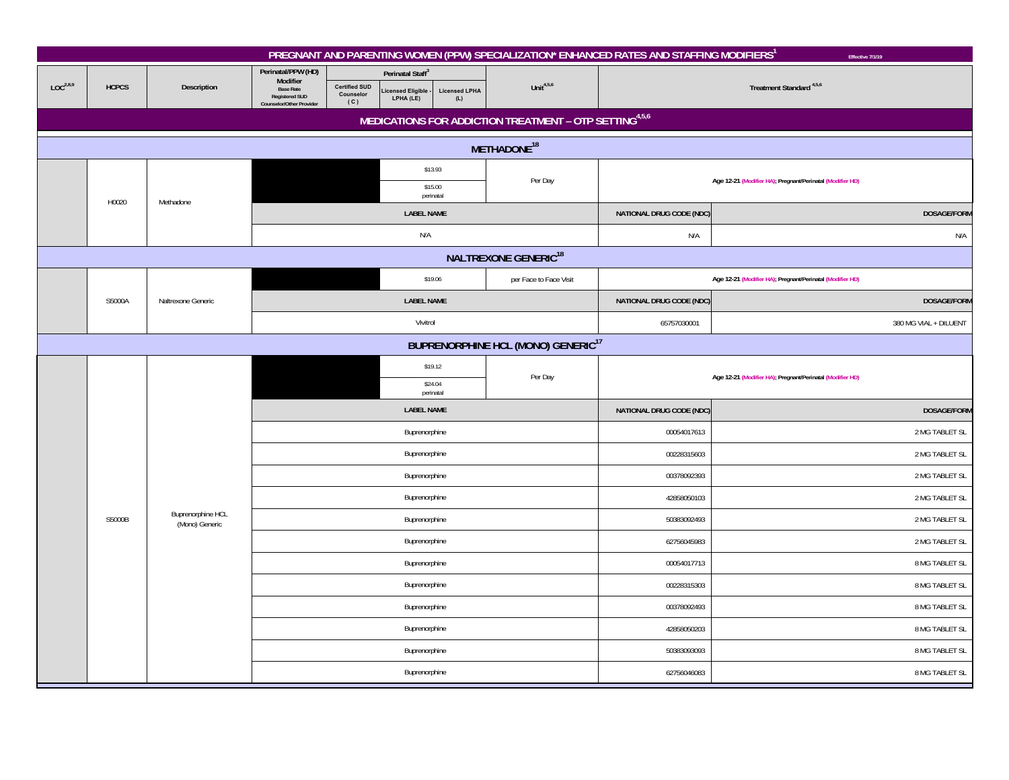|                      |                                                      |                                     |                                                                                                         |                                          |                                                               |                             |                                                        | PREGNANT AND PARENTING WOMEN (PPW) SPECIALIZATION* ENHANCED RATES AND STAFFING MODIFIERS <sup>1</sup> | Effective 7/1/19                                          |  |  |  |  |
|----------------------|------------------------------------------------------|-------------------------------------|---------------------------------------------------------------------------------------------------------|------------------------------------------|---------------------------------------------------------------|-----------------------------|--------------------------------------------------------|-------------------------------------------------------------------------------------------------------|-----------------------------------------------------------|--|--|--|--|
| LOC <sup>2,8,9</sup> | <b>HCPCS</b>                                         | Description                         | Perinatal/PPW (HD)<br>Modifier<br><b>Base Rate</b><br><b>Registered SUD</b><br>Counselor/Other Provider | <b>Certified SUD</b><br>Counselor<br>(C) | Perinatal Staff <sup>3</sup><br>icensed Eligible<br>LPHA (LE) | <b>Licensed LPHA</b><br>(L) | Unit $4,5,6$                                           |                                                                                                       | Treatment Standard <sup>4,5,6</sup>                       |  |  |  |  |
|                      |                                                      |                                     |                                                                                                         |                                          |                                                               |                             | MEDICATIONS FOR ADDICTION TREATMENT - OTP SETTING4,5,6 |                                                                                                       |                                                           |  |  |  |  |
|                      |                                                      |                                     |                                                                                                         |                                          | METHADONE <sup>18</sup>                                       |                             |                                                        |                                                                                                       |                                                           |  |  |  |  |
|                      |                                                      |                                     |                                                                                                         |                                          | \$13.93                                                       |                             | Per Day                                                |                                                                                                       | Age 12-21 (Modifier HA); Pregnant/Perinatal (Modifier HD) |  |  |  |  |
|                      | H0020                                                | Methadone                           |                                                                                                         |                                          | \$15.00<br>perinatal                                          |                             |                                                        |                                                                                                       |                                                           |  |  |  |  |
|                      |                                                      |                                     |                                                                                                         |                                          | <b>LABEL NAME</b>                                             |                             |                                                        | NATIONAL DRUG CODE (NDC)                                                                              | DOSAGE/FORM                                               |  |  |  |  |
|                      |                                                      |                                     |                                                                                                         |                                          | N/A                                                           |                             |                                                        | N/A                                                                                                   | N/A                                                       |  |  |  |  |
|                      |                                                      |                                     |                                                                                                         |                                          |                                                               |                             | <b>NALTREXONE GENERIC<sup>18</sup></b>                 |                                                                                                       |                                                           |  |  |  |  |
|                      |                                                      |                                     |                                                                                                         |                                          | \$19.06                                                       |                             | per Face to Face Visit                                 |                                                                                                       | Age 12-21 (Modifier HA); Pregnant/Perinatal (Modifier HD) |  |  |  |  |
|                      | S5000A<br>Naltrexone Generic                         |                                     |                                                                                                         |                                          |                                                               | <b>LABEL NAME</b>           |                                                        | NATIONAL DRUG CODE (NDC)                                                                              | <b>DOSAGE/FORM</b>                                        |  |  |  |  |
|                      |                                                      |                                     |                                                                                                         |                                          | Vivitrol                                                      |                             |                                                        | 65757030001                                                                                           | 380 MG VIAL + DILUENT                                     |  |  |  |  |
|                      | <b>BUPRENORPHINE HCL (MONO) GENERIC<sup>17</sup></b> |                                     |                                                                                                         |                                          |                                                               |                             |                                                        |                                                                                                       |                                                           |  |  |  |  |
|                      |                                                      |                                     |                                                                                                         | \$19.12                                  |                                                               |                             | Per Day                                                |                                                                                                       | Age 12-21 (Modifier HA); Pregnant/Perinatal (Modifier HD) |  |  |  |  |
|                      |                                                      |                                     | \$24.04<br>perinatal                                                                                    |                                          |                                                               |                             |                                                        |                                                                                                       |                                                           |  |  |  |  |
|                      |                                                      |                                     |                                                                                                         |                                          | <b>LABEL NAME</b>                                             |                             |                                                        | NATIONAL DRUG CODE (NDC)                                                                              | <b>DOSAGE/FORM</b>                                        |  |  |  |  |
|                      |                                                      |                                     |                                                                                                         |                                          | Buprenorphine                                                 |                             |                                                        | 00054017613                                                                                           | 2 MG TABLET SL                                            |  |  |  |  |
|                      |                                                      |                                     |                                                                                                         |                                          | Buprenorphine                                                 |                             |                                                        | 00228315603                                                                                           | 2 MG TABLET SL                                            |  |  |  |  |
|                      |                                                      |                                     |                                                                                                         |                                          | Buprenorphine                                                 |                             |                                                        | 00378092393                                                                                           | 2 MG TABLET SL                                            |  |  |  |  |
|                      |                                                      |                                     |                                                                                                         |                                          | Buprenorphine                                                 |                             |                                                        | 42858050103                                                                                           | 2 MG TABLET SL                                            |  |  |  |  |
|                      | S5000B                                               | Buprenorphine HCL<br>(Mono) Generic |                                                                                                         |                                          | Buprenorphine                                                 |                             |                                                        | 50383092493                                                                                           | 2 MG TABLET SL                                            |  |  |  |  |
|                      |                                                      |                                     |                                                                                                         |                                          | Buprenorphine                                                 |                             |                                                        | 62756045983                                                                                           | 2 MG TABLET SL                                            |  |  |  |  |
|                      |                                                      |                                     |                                                                                                         |                                          | Buprenorphine                                                 |                             |                                                        | 00054017713                                                                                           | 8 MG TABLET SL                                            |  |  |  |  |
|                      |                                                      |                                     |                                                                                                         |                                          | Buprenorphine                                                 |                             |                                                        | 00228315303                                                                                           | 8 MG TABLET SL                                            |  |  |  |  |
|                      |                                                      |                                     |                                                                                                         |                                          | Buprenorphine                                                 |                             |                                                        | 00378092493                                                                                           | 8 MG TABLET SL                                            |  |  |  |  |
|                      |                                                      |                                     |                                                                                                         |                                          | Buprenorphine                                                 |                             |                                                        | 42858050203                                                                                           | 8 MG TABLET SL                                            |  |  |  |  |
|                      |                                                      |                                     |                                                                                                         |                                          | Buprenorphine                                                 |                             |                                                        | 50383093093                                                                                           | 8 MG TABLET SL                                            |  |  |  |  |
|                      |                                                      |                                     |                                                                                                         |                                          | Buprenorphine                                                 |                             |                                                        | 62756046083                                                                                           | 8 MG TABLET SL                                            |  |  |  |  |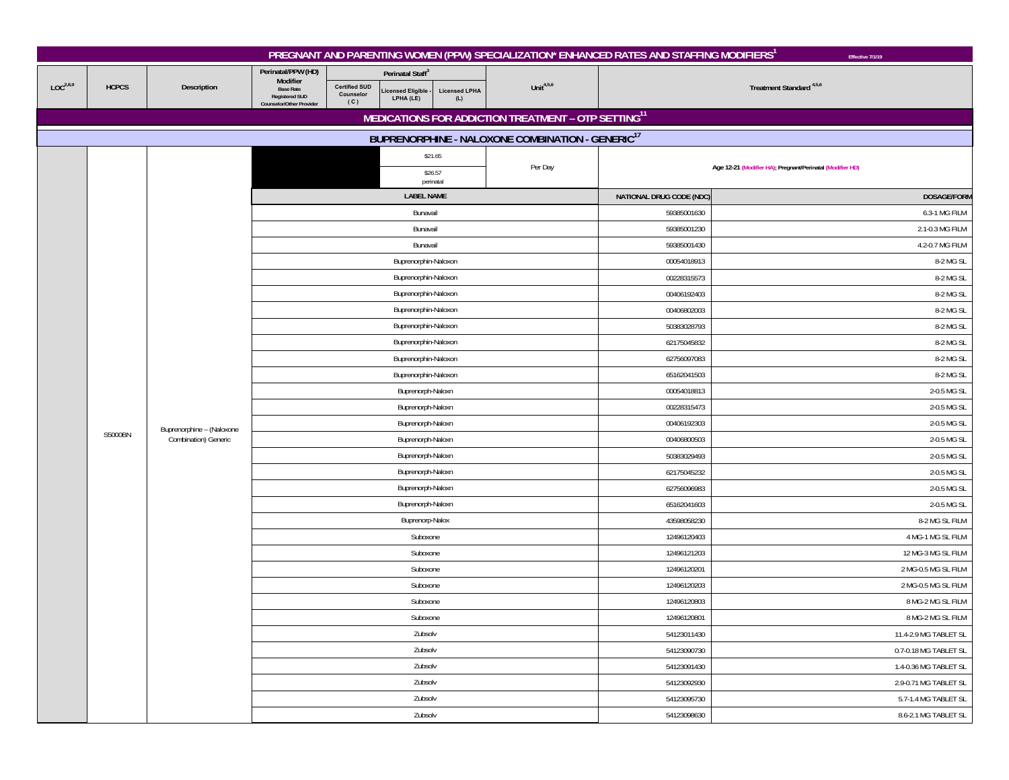|                      |              |                           |                                                       |                                   |                               |                      |                                                                 | PREGNANT AND PARENTING WOMEN (PPW) SPECIALIZATION* ENHANCED RATES AND STAFFING MODIFIERS <sup>1</sup> | Effective 7/1/19                                          |  |
|----------------------|--------------|---------------------------|-------------------------------------------------------|-----------------------------------|-------------------------------|----------------------|-----------------------------------------------------------------|-------------------------------------------------------------------------------------------------------|-----------------------------------------------------------|--|
|                      |              |                           | Perinatal/PPW (HD)                                    |                                   | Perinatal Staff <sup>3</sup>  |                      |                                                                 |                                                                                                       |                                                           |  |
| LOC <sup>2,8,9</sup> | <b>HCPCS</b> | Description               | Modifier<br><b>Base Rate</b><br><b>Registered SUD</b> | <b>Certified SUD</b><br>Counselor | icensed Eligible<br>LPHA (LE) | <b>Licensed LPHA</b> | Unit $4,5,6$                                                    |                                                                                                       | Treatment Standard <sup>4,5,6</sup>                       |  |
|                      |              |                           | Counselor/Other Provider                              | (C)                               |                               | (L)                  |                                                                 |                                                                                                       |                                                           |  |
|                      |              |                           |                                                       |                                   |                               |                      | MEDICATIONS FOR ADDICTION TREATMENT - OTP SETTING <sup>11</sup> |                                                                                                       |                                                           |  |
|                      |              |                           |                                                       |                                   |                               |                      | BUPRENORPHINE - NALOXONE COMBINATION - GENERIC <sup>17</sup>    |                                                                                                       |                                                           |  |
|                      |              |                           |                                                       |                                   |                               | \$21.65              |                                                                 |                                                                                                       |                                                           |  |
|                      |              |                           |                                                       |                                   | \$26.57                       | perinatal            | Per Day                                                         |                                                                                                       | Age 12-21 (Modifier HA); Pregnant/Perinatal (Modifier HD) |  |
|                      |              |                           |                                                       |                                   | <b>LABEL NAME</b>             |                      |                                                                 | NATIONAL DRUG CODE (NDC)                                                                              | DOSAGE/FORM                                               |  |
|                      |              |                           |                                                       |                                   | Bunavail                      |                      |                                                                 | 59385001630                                                                                           | 6.3-1 MG FILM                                             |  |
|                      |              |                           |                                                       |                                   | Bunavail                      |                      |                                                                 | 59385001230                                                                                           | 2.1-0.3 MG FILM                                           |  |
|                      |              |                           |                                                       |                                   | Bunavail                      |                      |                                                                 | 59385001430                                                                                           | 4.2-0.7 MG FILM                                           |  |
|                      |              |                           |                                                       |                                   | Buprenorphin-Naloxon          |                      |                                                                 | 00054018913                                                                                           | 8-2 MG SL                                                 |  |
|                      |              |                           |                                                       |                                   | Buprenorphin-Naloxon          |                      |                                                                 | 00228315573                                                                                           | 8-2 MG SL                                                 |  |
|                      |              |                           |                                                       |                                   | Buprenorphin-Naloxon          |                      |                                                                 | 00406192403                                                                                           | 8-2 MG SL                                                 |  |
|                      |              |                           |                                                       |                                   | Buprenorphin-Naloxon          |                      |                                                                 | 00406802003                                                                                           | 8-2 MG SL                                                 |  |
|                      |              |                           |                                                       |                                   | Buprenorphin-Naloxon          |                      |                                                                 | 50383028793                                                                                           | 8-2 MG SL                                                 |  |
|                      |              |                           |                                                       |                                   | Buprenorphin-Naloxon          |                      |                                                                 | 62175045832                                                                                           | 8-2 MG SL                                                 |  |
|                      |              |                           |                                                       |                                   | Buprenorphin-Naloxon          |                      |                                                                 | 62756097083                                                                                           | 8-2 MG SL                                                 |  |
|                      |              |                           |                                                       |                                   | Buprenorphin-Naloxon          |                      |                                                                 | 65162041503                                                                                           | 8-2 MG SL                                                 |  |
|                      |              |                           |                                                       |                                   | Buprenorph-Naloxn             |                      |                                                                 | 00054018813                                                                                           | 2-0.5 MG SL                                               |  |
|                      |              |                           | Buprenorph-Naloxn                                     |                                   |                               |                      |                                                                 | 00228315473                                                                                           | 2-0.5 MG SL                                               |  |
|                      | S5000BN      | Buprenorphine - (Naloxone | Buprenorph-Naloxn                                     |                                   |                               |                      |                                                                 | 00406192303                                                                                           | 2-0.5 MG SL                                               |  |
|                      |              | Combination) Generic      | Buprenorph-Naloxn                                     |                                   |                               |                      |                                                                 | 00406800503                                                                                           | 2-0.5 MG SL                                               |  |
|                      |              |                           |                                                       |                                   | Buprenorph-Naloxn             |                      |                                                                 | 50383029493                                                                                           | 2-0.5 MG SL                                               |  |
|                      |              |                           |                                                       |                                   | Buprenorph-Naloxn             |                      |                                                                 | 62175045232                                                                                           | 2-0.5 MG SL                                               |  |
|                      |              |                           |                                                       |                                   | Buprenorph-Naloxn             |                      |                                                                 | 62756096983                                                                                           | 2-0.5 MG SL<br>2-0.5 MG SL                                |  |
|                      |              |                           | Buprenorph-Naloxn                                     |                                   |                               |                      |                                                                 | 65162041603                                                                                           |                                                           |  |
|                      |              |                           |                                                       |                                   | Buprenorp-Nalox               |                      |                                                                 | 43598058230                                                                                           | 8-2 MG SL FILM                                            |  |
|                      |              |                           |                                                       |                                   | Suboxone                      |                      |                                                                 | 12496120403                                                                                           | 4 MG-1 MG SL FILM                                         |  |
|                      |              |                           |                                                       |                                   | Suboxone                      |                      |                                                                 | 12496121203                                                                                           | 12 MG-3 MG SL FILM                                        |  |
|                      |              |                           |                                                       |                                   | Suboxone                      |                      |                                                                 | 12496120201                                                                                           | 2 MG-0.5 MG SL FILM                                       |  |
|                      |              |                           |                                                       |                                   | Suboxone                      |                      |                                                                 | 12496120203                                                                                           | 2 MG-0.5 MG SL FILM                                       |  |
|                      |              |                           |                                                       | Suboxone                          |                               |                      |                                                                 | 12496120803                                                                                           | 8 MG-2 MG SL FILM                                         |  |
|                      |              |                           |                                                       |                                   | Suboxone<br>Zubsolv           |                      |                                                                 | 12496120801<br>54123011430                                                                            | 8 MG-2 MG SL FILM<br>11.4-2.9 MG TABLET SL                |  |
|                      |              |                           |                                                       |                                   | Zubsolv                       |                      |                                                                 | 54123090730                                                                                           | 0.7-0.18 MG TABLET SL                                     |  |
|                      |              |                           |                                                       |                                   |                               |                      |                                                                 | 54123091430                                                                                           | 1.4-0.36 MG TABLET SL                                     |  |
|                      |              |                           | Zubsolv<br>Zubsolv                                    |                                   |                               |                      |                                                                 |                                                                                                       | 2.9-0.71 MG TABLET SL                                     |  |
|                      |              |                           |                                                       |                                   | Zubsolv                       |                      |                                                                 | 54123092930<br>54123095730                                                                            | 5.7-1.4 MG TABLET SL                                      |  |
|                      |              |                           |                                                       |                                   |                               |                      |                                                                 | 54123098630                                                                                           | 8.6-2.1 MG TABLET SL                                      |  |
|                      |              |                           | Zubsolv                                               |                                   |                               |                      |                                                                 |                                                                                                       |                                                           |  |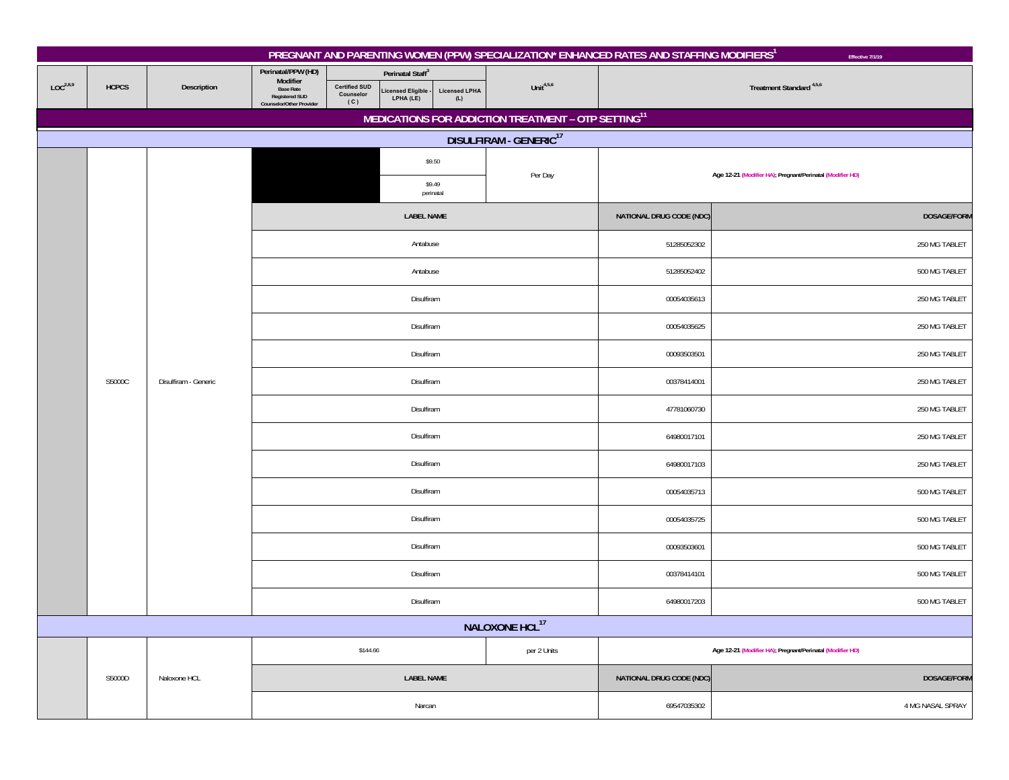|                      |              |                      |                                                                                                         |                                          |                                                                |                             |                                                                 | PREGNANT AND PARENTING WOMEN (PPW) SPECIALIZATION* ENHANCED RATES AND STAFFING MODIFIERS <sup>1</sup> | Effective 7/1/19                                          |  |
|----------------------|--------------|----------------------|---------------------------------------------------------------------------------------------------------|------------------------------------------|----------------------------------------------------------------|-----------------------------|-----------------------------------------------------------------|-------------------------------------------------------------------------------------------------------|-----------------------------------------------------------|--|
| LOC <sup>2,8,9</sup> | <b>HCPCS</b> | Description          | Perinatal/PPW (HD)<br>Modifier<br><b>Base Rate</b><br><b>Registered SUD</b><br>Counselor/Other Provider | <b>Certified SUD</b><br>Counselor<br>(C) | Perinatal Staff <sup>3</sup><br>Licensed Eligible<br>LPHA (LE) | <b>Licensed LPHA</b><br>(L) | Unit $4,5,6$                                                    |                                                                                                       | Treatment Standard <sup>4,5,6</sup>                       |  |
|                      |              |                      |                                                                                                         |                                          |                                                                |                             | MEDICATIONS FOR ADDICTION TREATMENT - OTP SETTING <sup>11</sup> |                                                                                                       |                                                           |  |
|                      |              |                      |                                                                                                         |                                          |                                                                |                             | DISULFIRAM - GENERIC <sup>17</sup>                              |                                                                                                       |                                                           |  |
|                      |              |                      |                                                                                                         |                                          |                                                                | \$9.50                      | Per Day                                                         | Age 12-21 (Modifier HA); Pregnant/Perinatal (Modifier HD)                                             |                                                           |  |
|                      |              |                      |                                                                                                         |                                          |                                                                | \$9.49<br>perinatal         |                                                                 |                                                                                                       |                                                           |  |
|                      |              |                      |                                                                                                         |                                          | <b>LABEL NAME</b>                                              |                             |                                                                 | NATIONAL DRUG CODE (NDC)                                                                              | DOSAGE/FORM                                               |  |
|                      |              |                      |                                                                                                         |                                          | Antabuse                                                       |                             |                                                                 | 51285052302                                                                                           | 250 MG TABLET                                             |  |
|                      |              |                      |                                                                                                         |                                          | Antabuse                                                       |                             |                                                                 | 51285052402                                                                                           | 500 MG TABLET                                             |  |
|                      |              |                      |                                                                                                         |                                          | Disulfiram                                                     |                             |                                                                 | 00054035613                                                                                           | 250 MG TABLET                                             |  |
|                      |              |                      |                                                                                                         |                                          | Disulfiram                                                     |                             |                                                                 | 250 MG TABLET                                                                                         |                                                           |  |
|                      |              | Disulfiram - Generic |                                                                                                         |                                          | Disulfiram                                                     |                             |                                                                 | 00093503501                                                                                           | 250 MG TABLET                                             |  |
|                      | S5000C       |                      |                                                                                                         |                                          | Disulfiram                                                     |                             |                                                                 | 00378414001                                                                                           | 250 MG TABLET                                             |  |
|                      |              |                      |                                                                                                         |                                          | Disulfiram                                                     |                             |                                                                 | 47781060730                                                                                           | 250 MG TABLET                                             |  |
|                      |              |                      |                                                                                                         |                                          | Disulfiram                                                     |                             |                                                                 | 64980017101                                                                                           | 250 MG TABLET                                             |  |
|                      |              |                      |                                                                                                         |                                          | Disulfiram                                                     |                             |                                                                 | 64980017103                                                                                           | 250 MG TABLET                                             |  |
|                      |              |                      |                                                                                                         |                                          | Disulfiram                                                     |                             |                                                                 | 00054035713                                                                                           | 500 MG TABLET                                             |  |
|                      |              |                      |                                                                                                         |                                          | Disulfiram                                                     |                             |                                                                 | 00054035725                                                                                           | 500 MG TABLET                                             |  |
|                      |              |                      |                                                                                                         |                                          | Disulfiram                                                     |                             |                                                                 | 00093503601                                                                                           | 500 MG TABLET                                             |  |
|                      |              |                      |                                                                                                         |                                          | Disulfiram                                                     |                             |                                                                 | 00378414101                                                                                           | 500 MG TABLET                                             |  |
|                      |              |                      |                                                                                                         |                                          | Disulfiram                                                     |                             |                                                                 | 64980017203                                                                                           | 500 MG TABLET                                             |  |
|                      |              |                      |                                                                                                         |                                          |                                                                |                             | NALOXONE HCL <sup>17</sup>                                      |                                                                                                       |                                                           |  |
|                      |              |                      |                                                                                                         | \$144.66                                 |                                                                |                             | per 2 Units                                                     |                                                                                                       | Age 12-21 (Modifier HA); Pregnant/Perinatal (Modifier HD) |  |
|                      | S5000D       | Naloxone HCL         |                                                                                                         |                                          | <b>LABEL NAME</b>                                              |                             |                                                                 | NATIONAL DRUG CODE (NDC)                                                                              | <b>DOSAGE/FORM</b>                                        |  |
|                      |              |                      |                                                                                                         |                                          | Narcan                                                         |                             |                                                                 | 69547035302                                                                                           | 4 MG NASAL SPRAY                                          |  |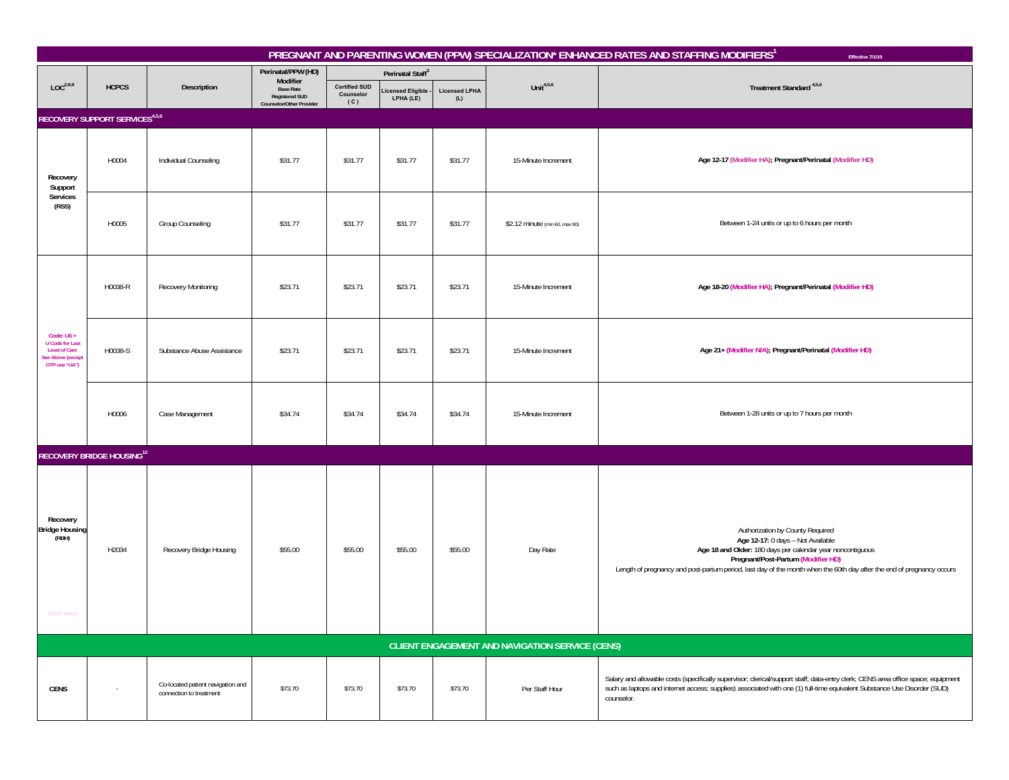|                                                                                                      |                                                 |                                                              |                                                                       |                                          |                               |                             |                                | PREGNANT AND PARENTING WOMEN (PPW) SPECIALIZATION* ENHANCED RATES AND STAFFING MODIFIERS <sup>1</sup><br>Effective 7/1/19                                                                                                                                                                          |  |  |  |  |
|------------------------------------------------------------------------------------------------------|-------------------------------------------------|--------------------------------------------------------------|-----------------------------------------------------------------------|------------------------------------------|-------------------------------|-----------------------------|--------------------------------|----------------------------------------------------------------------------------------------------------------------------------------------------------------------------------------------------------------------------------------------------------------------------------------------------|--|--|--|--|
|                                                                                                      |                                                 |                                                              | Perinatal/PPW (HD)<br>Modifier                                        |                                          | Perinatal Staff <sup>3</sup>  |                             |                                |                                                                                                                                                                                                                                                                                                    |  |  |  |  |
| LOC <sup>2,8,9</sup>                                                                                 | <b>HCPCS</b>                                    | Description                                                  | <b>Base Rate</b><br><b>Registered SUD</b><br>Counselor/Other Provider | <b>Certified SUD</b><br>Counselor<br>(C) | icensed Eligible<br>LPHA (LE) | <b>Licensed LPHA</b><br>(L) | Unit $4,5,6$                   | Treatment Standard <sup>4,5,6</sup>                                                                                                                                                                                                                                                                |  |  |  |  |
|                                                                                                      | RECOVERY SUPPORT SERVICES <sup>4,5,6</sup>      |                                                              |                                                                       |                                          |                               |                             |                                |                                                                                                                                                                                                                                                                                                    |  |  |  |  |
| Recovery<br>Support                                                                                  | H0004                                           | Individual Counseling                                        | \$31.77                                                               | \$31.77                                  | \$31.77                       | \$31.77                     | 15-Minute Increment            | Age 12-17 (Modifier HA); Pregnant/Perinatal (Modifier HD)                                                                                                                                                                                                                                          |  |  |  |  |
| Services<br>(RSS)                                                                                    | H0005                                           | Group Counseling                                             | \$31.77                                                               | \$31.77                                  | \$31.77                       | \$31.77                     | \$2.12 minute (min 60, max 90) | Between 1-24 units or up to 6 hours per month                                                                                                                                                                                                                                                      |  |  |  |  |
|                                                                                                      | H0038-R                                         | <b>Recovery Monitoring</b>                                   | \$23.71                                                               | \$23.71                                  | \$23.71                       | \$23.71                     | 15-Minute Increment            | Age 18-20 (Modifier HA); Pregnant/Perinatal (Modifier HD)                                                                                                                                                                                                                                          |  |  |  |  |
| Code: $U6 +$<br><b>U</b> Code for Last<br><b>Level of Care</b><br>See Above (except<br>OTP use "UA") | H0038-S                                         | Substance Abuse Assistance                                   | \$23.71                                                               | \$23.71                                  | \$23.71                       | \$23.71                     | 15-Minute Increment            | Age 21+ (Modifier N/A); Pregnant/Perinatal (Modifier HD)                                                                                                                                                                                                                                           |  |  |  |  |
|                                                                                                      | H0006                                           | Case Management                                              | \$34.74                                                               | \$34.74                                  | \$34.74                       | \$34.74                     | 15-Minute Increment            | Between 1-28 units or up to 7 hours per month                                                                                                                                                                                                                                                      |  |  |  |  |
|                                                                                                      | <b>RECOVERY BRIDGE HOUSING12</b>                |                                                              |                                                                       |                                          |                               |                             |                                |                                                                                                                                                                                                                                                                                                    |  |  |  |  |
| Recovery<br><b>Bridge Housing</b><br>(RBH)                                                           | H2034                                           | Recovery Bridge Housing                                      | \$55.00                                                               | \$55.00                                  | \$55.00                       | \$55.00                     | Day Rate                       | Authorization by County Required<br>Age 12-17: 0 days - Not Available<br>Age 18 and Older: 180 days per calendar year noncontiguous<br>Pregnant/Post-Partum (Modifier HD)<br>Length of pregnancy and post-partum period, last day of the month when the 60th day after the end of pregnancy occurs |  |  |  |  |
|                                                                                                      | CLIENT ENGAGEMENT AND NAVIGATION SERVICE (CENS) |                                                              |                                                                       |                                          |                               |                             |                                |                                                                                                                                                                                                                                                                                                    |  |  |  |  |
| <b>CENS</b>                                                                                          | $\sim$                                          | Co-located patient navigation and<br>connection to treatment | \$73.70                                                               | \$73.70                                  | \$73.70                       | \$73.70                     | Per Staff Hour                 | Salary and allowable costs (specifically supervisor; clerical/support staff; data-entry clerk; CENS area office space; equipment<br>such as laptops and internet access; supplies) associated with one (1) full-time equivalent Substance Use Disorder (SUD)<br>counselor.                         |  |  |  |  |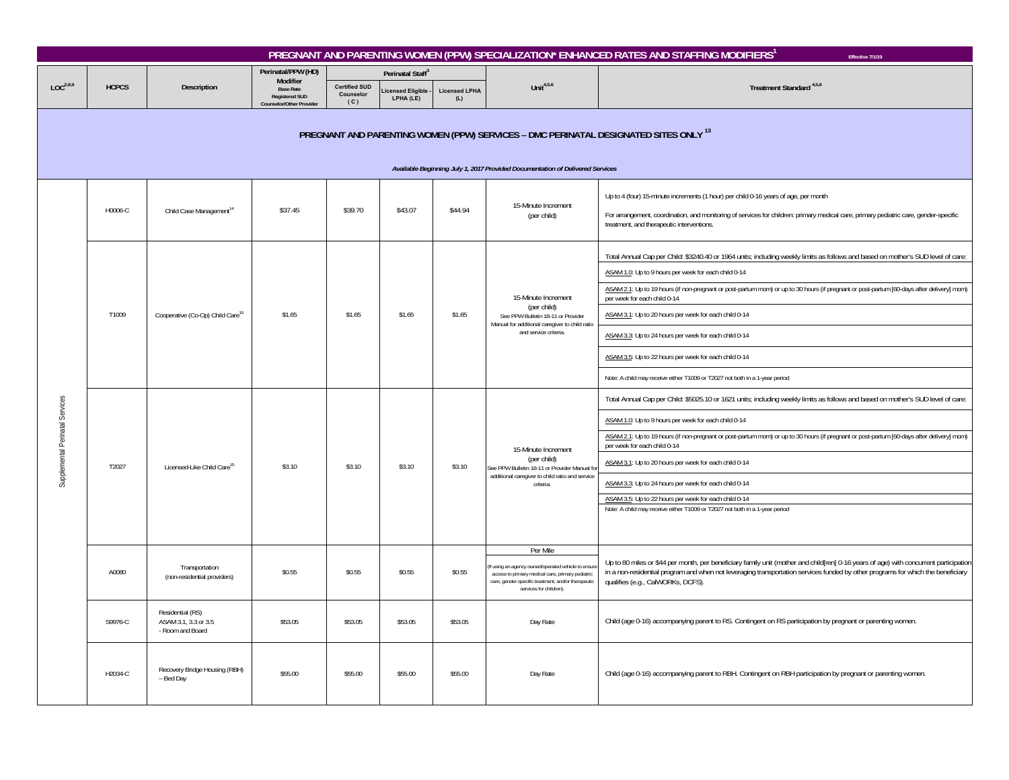| PREGNANT AND PARENTING WOMEN (PPW) SPECIALIZATION* ENHANCED RATES AND STAFFING MODIFIERS <sup>1</sup><br>Effective 7/1/19 |                                                                                                                                                                       |                                                              |                                                                              |                                          |                               |                             |                                                                                                                                                                                                      |                                                                                                                                                                                                                                                                                                                                                                                                                                                                                                                                                                                                                                 |  |  |  |
|---------------------------------------------------------------------------------------------------------------------------|-----------------------------------------------------------------------------------------------------------------------------------------------------------------------|--------------------------------------------------------------|------------------------------------------------------------------------------|------------------------------------------|-------------------------------|-----------------------------|------------------------------------------------------------------------------------------------------------------------------------------------------------------------------------------------------|---------------------------------------------------------------------------------------------------------------------------------------------------------------------------------------------------------------------------------------------------------------------------------------------------------------------------------------------------------------------------------------------------------------------------------------------------------------------------------------------------------------------------------------------------------------------------------------------------------------------------------|--|--|--|
|                                                                                                                           |                                                                                                                                                                       | Description                                                  | Perinatal/PPW (HD)<br>Modifier                                               |                                          | Perinatal Staff <sup>3</sup>  |                             |                                                                                                                                                                                                      |                                                                                                                                                                                                                                                                                                                                                                                                                                                                                                                                                                                                                                 |  |  |  |
| LOC <sup>2,8,9</sup>                                                                                                      | <b>HCPCS</b>                                                                                                                                                          |                                                              | <b>Base Rate</b><br><b>Registered SUD</b><br><b>Counselor/Other Provider</b> | <b>Certified SUD</b><br>Counselor<br>(C) | icensed Eligible<br>LPHA (LE) | <b>Licensed LPHA</b><br>(L) | Unit $4,5,6$                                                                                                                                                                                         | Treatment Standard <sup>4,5,6</sup>                                                                                                                                                                                                                                                                                                                                                                                                                                                                                                                                                                                             |  |  |  |
|                                                                                                                           | PREGNANT AND PARENTING WOMEN (PPW) SERVICES - DMC PERINATAL DESIGNATED SITES ONLY 13<br>Available Beginning July 1, 2017 Provided Documentation of Delivered Services |                                                              |                                                                              |                                          |                               |                             |                                                                                                                                                                                                      |                                                                                                                                                                                                                                                                                                                                                                                                                                                                                                                                                                                                                                 |  |  |  |
| Supplemental Perinatal Services                                                                                           | H0006-C                                                                                                                                                               | Child Case Management <sup>14</sup>                          | \$37.45                                                                      | \$39.70                                  | \$43.07                       | \$44.94                     | 15-Minute Increment<br>(per child)                                                                                                                                                                   | Up to 4 (four) 15-minute increments (1 hour) per child 0-16 years of age, per month<br>For arrangement, coordination, and monitoring of services for children: primary medical care, primary pediatric care, gender-specific<br>treatment, and therapeutic interventions.                                                                                                                                                                                                                                                                                                                                                       |  |  |  |
|                                                                                                                           | T1009                                                                                                                                                                 | Cooperative (Co-Op) Child Care <sup>15</sup>                 | \$1.65                                                                       | \$1.65                                   | \$1.65                        | \$1.65                      | 15-Minute Increment<br>(per child)<br>See PPW Bulletin 18-11 or Provider<br>Manual for additional caregiver to child ratio<br>and service criteria                                                   | Total Annual Cap per Child: \$3240.40 or 1964 units; including weekly limits as follows and based on mother's SUD level of care:<br>ASAM 1.0: Up to 9 hours per week for each child 0-14<br>ASAM 2.1: Up to 19 hours (if non-pregnant or post-partum mom) or up to 30 hours (if pregnant or post-partum [60-days after delivery] mom)<br>per week for each child 0-14<br>ASAM 3.1: Up to 20 hours per week for each child 0-14<br>ASAM 3.3: Up to 24 hours per week for each child 0-14<br>ASAM 3.5: Up to 22 hours per week for each child 0-14<br>Note: A child may receive either T1009 or T2027 not both in a 1-year period |  |  |  |
|                                                                                                                           | T2027                                                                                                                                                                 | Licensed-Like Child Care <sup>15</sup>                       | \$3.10                                                                       | \$3.10                                   | \$3.10                        | \$3.10                      | 15-Minute Increment<br>(per child)<br>See PPW Bulletin 18-11 or Provider Manual fo<br>additional caregiver to child ratio and service<br>criteria.                                                   | Total Annual Cap per Child: \$5025.10 or 1621 units; including weekly limits as follows and based on mother's SUD level of care:<br>ASAM 1.0: Up to 9 hours per week for each child 0-14<br>ASAM 2.1: Up to 19 hours (if non-pregnant or post-partum mom) or up to 30 hours (if pregnant or post-partum [60-days after delivery] mom)<br>per week for each child 0-14<br>ASAM 3.1: Up to 20 hours per week for each child 0-14<br>ASAM 3.3: Up to 24 hours per week for each child 0-14<br>ASAM 3.5: Up to 22 hours per week for each child 0-14<br>Note: A child may receive either T1009 or T2027 not both in a 1-year period |  |  |  |
|                                                                                                                           | A0080                                                                                                                                                                 | Transportation<br>(non-residential providers)                | \$0.55                                                                       | \$0.55                                   | \$0.55                        | \$0.55                      | Per Mile<br>If using an agency owned/operated vehicle to ensu<br>access to primary medical care, primary pediatric<br>care, gender-specific treatment, and/or therapeutic<br>services for children). | Up to 80 miles or \$44 per month, per beneficiary family unit (mother and child[ren] 0-16 years of age) with concurrent participation<br>in a non-residential program and when not leveraging transportation services funded by other programs for which the beneficiary<br>qualifies (e.g., CalWORKs, DCFS).                                                                                                                                                                                                                                                                                                                   |  |  |  |
|                                                                                                                           | S9976-C                                                                                                                                                               | Residential (RS)<br>ASAM 3.1, 3.3 or 3.5<br>- Room and Board | \$53.05                                                                      | \$53.05                                  | \$53.05                       | \$53.05                     | Day Rate                                                                                                                                                                                             | Child (age 0-16) accompanying parent to RS. Contingent on RS participation by pregnant or parenting women.                                                                                                                                                                                                                                                                                                                                                                                                                                                                                                                      |  |  |  |
|                                                                                                                           | H2034-C                                                                                                                                                               | Recovery Bridge Housing (RBH)<br>- Bed Day                   | \$55.00                                                                      | \$55.00                                  | \$55.00                       | \$55.00                     | Day Rate                                                                                                                                                                                             | Child (age 0-16) accompanying parent to RBH. Contingent on RBH participation by pregnant or parenting women.                                                                                                                                                                                                                                                                                                                                                                                                                                                                                                                    |  |  |  |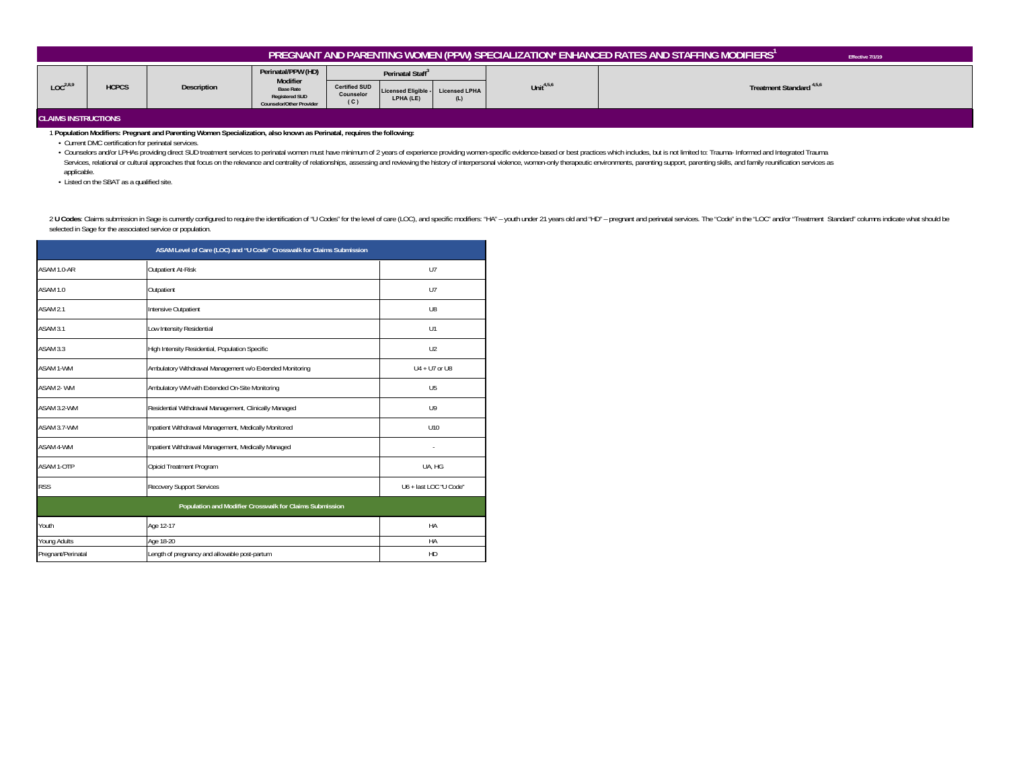| PREGNANT AND PARENTING WOMEN (PPW) SPECIALIZATION* ENHANCED RATES AND STAFFING MODIFIERS'<br>Effective 7/1/19 |              |             |                                                                                                                |                                                                                                        |                  |              |                                     |  |  |
|---------------------------------------------------------------------------------------------------------------|--------------|-------------|----------------------------------------------------------------------------------------------------------------|--------------------------------------------------------------------------------------------------------|------------------|--------------|-------------------------------------|--|--|
| LOC <sup>2,8,9</sup><br><b>CLAIMS INSTRUCTIONS</b>                                                            | <b>HCPCS</b> | Description | Perinatal/PPW (HD)<br>Modifier<br><b>Base Rate</b><br><b>Registered SUD</b><br><b>Counselor/Other Provider</b> | Perinatal Staff <sup>3</sup><br><b>Certified SUD</b><br>Licensed Eligible - Licensed LPHA<br>Counselor |                  | Unit $4,5,6$ | Treatment Standard <sup>4,5,6</sup> |  |  |
|                                                                                                               |              |             |                                                                                                                | (C)                                                                                                    | LPHA (LE)<br>(L) |              |                                     |  |  |

1 **Population Modifiers: Pregnant and Parenting Women Specialization, also known as Perinatal, requires the following:**

• Current DMC certification for perinatal services.

- Counselors and/or LPHAs providing direct SUD treatment services to perinatal women must have minimum of 2 years of experience providing women-specific evidence-based or best practices which includes, but is not limited t Services, relational or cultural approaches that focus on the relevance and centrality of relationships, assessing and reviewing the history of interpersonal violence, women-only therapeutic environments, parenting support applicable.

• Listed on the SBAT as a qualified site.

2 U Codes: Claims submission in Sage is currently configured to require the identification of "U Codes" for the level of care (LOC), and specific modifiers: "HA" - youth under 21 years old and "HD" - pregnant and perinatal selected in Sage for the associated service or population.

|                     | ASAM Level of Care (LOC) and "U Code" Crosswalk for Claims Submission |                        |
|---------------------|-----------------------------------------------------------------------|------------------------|
| ASAM 1.0-AR         | Outpatient At-Risk                                                    | $U$ 7                  |
| ASAM 1.0            | Outpatient                                                            | $U$ 7                  |
| ASAM <sub>2.1</sub> | Intensive Outpatient                                                  | U8                     |
| ASAM 3.1            | Low Intensity Residential                                             | U1                     |
| ASAM 3.3            | High Intensity Residential, Population Specific                       | U <sub>2</sub>         |
| ASAM 1-WM           | Ambulatory Withdrawal Management w/o Extended Monitoring              | $U4 + U7$ or $U8$      |
| ASAM 2- WM          | Ambulatory WM with Extended On-Site Monitoring                        | U <sub>5</sub>         |
| ASAM 3.2-WM         | Residential Withdrawal Management, Clinically Managed                 | 119                    |
| ASAM 3.7-WM         | Inpatient Withdrawal Management, Medically Monitored                  | U10                    |
| ASAM 4-WM           | Inpatient Withdrawal Management, Medically Managed                    |                        |
| ASAM 1-OTP          | Opioid Treatment Program                                              | UA, HG                 |
| <b>RSS</b>          | <b>Recovery Support Services</b>                                      | U6 + last LOC "U Code" |
|                     | Population and Modifier Crosswalk for Claims Submission               |                        |
| Youth               | Age 12-17                                                             | HA                     |
| Young Adults        | Age 18-20                                                             | HA                     |
| Pregnant/Perinatal  | HD                                                                    |                        |